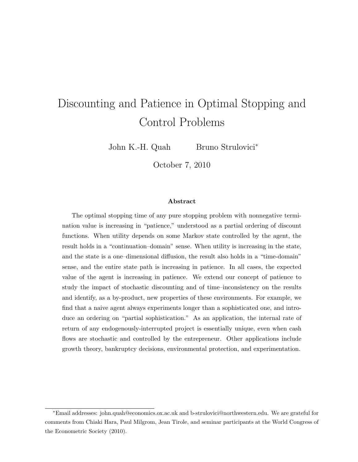# Discounting and Patience in Optimal Stopping and Control Problems

John K.-H. Quah Bruno Strulovici<sup>∗</sup>

October 7, 2010

#### Abstract

The optimal stopping time of any pure stopping problem with nonnegative termination value is increasing in "patience," understood as a partial ordering of discount functions. When utility depends on some Markov state controlled by the agent, the result holds in a "continuation–domain" sense. When utility is increasing in the state, and the state is a one–dimensional diffusion, the result also holds in a "time-domain" sense, and the entire state path is increasing in patience. In all cases, the expected value of the agent is increasing in patience. We extend our concept of patience to study the impact of stochastic discounting and of time–inconsistency on the results and identify, as a by-product, new properties of these environments. For example, we find that a naive agent always experiments longer than a sophisticated one, and introduce an ordering on "partial sophistication." As an application, the internal rate of return of any endogenously-interrupted project is essentially unique, even when cash flows are stochastic and controlled by the entrepreneur. Other applications include growth theory, bankruptcy decisions, environmental protection, and experimentation.

<sup>∗</sup>Email addresses: john.quah@economics.ox.ac.uk and b-strulovici@northwestern.edu. We are grateful for comments from Chiaki Hara, Paul Milgrom, Jean Tirole, and seminar participants at the World Congress of the Econometric Society (2010).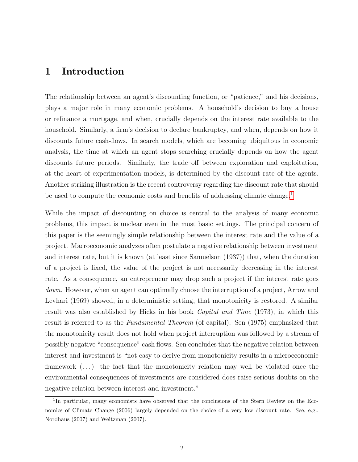# 1 Introduction

The relationship between an agent's discounting function, or "patience," and his decisions, plays a major role in many economic problems. A household's decision to buy a house or refinance a mortgage, and when, crucially depends on the interest rate available to the household. Similarly, a firm's decision to declare bankruptcy, and when, depends on how it discounts future cash-flows. In search models, which are becoming ubiquitous in economic analysis, the time at which an agent stops searching crucially depends on how the agent discounts future periods. Similarly, the trade–off between exploration and exploitation, at the heart of experimentation models, is determined by the discount rate of the agents. Another striking illustration is the recent controversy regarding the discount rate that should be used to compute the economic costs and benefits of addressing climate change.<sup>[1](#page-1-0)</sup>

While the impact of discounting on choice is central to the analysis of many economic problems, this impact is unclear even in the most basic settings. The principal concern of this paper is the seemingly simple relationship between the interest rate and the value of a project. Macroeconomic analyzes often postulate a negative relationship between investment and interest rate, but it is known (at least since Samuelson (1937)) that, when the duration of a project is fixed, the value of the project is not necessarily decreasing in the interest rate. As a consequence, an entrepreneur may drop such a project if the interest rate goes down. However, when an agent can optimally choose the interruption of a project, Arrow and Levhari (1969) showed, in a deterministic setting, that monotonicity is restored. A similar result was also established by Hicks in his book *Capital and Time* (1973), in which this result is referred to as the *Fundamental Theorem* (of capital). Sen (1975) emphasized that the monotonicity result does not hold when project interruption was followed by a stream of possibly negative "consequence" cash flows. Sen concludes that the negative relation between interest and investment is "not easy to derive from monotonicity results in a microeconomic framework  $(\ldots)$  the fact that the monotonicity relation may well be violated once the environmental consequences of investments are considered does raise serious doubts on the negative relation between interest and investment."

<span id="page-1-0"></span><sup>&</sup>lt;sup>1</sup>In particular, many economists have observed that the conclusions of the Stern Review on the Economics of Climate Change (2006) largely depended on the choice of a very low discount rate. See, e.g., Nordhaus (2007) and Weitzman (2007).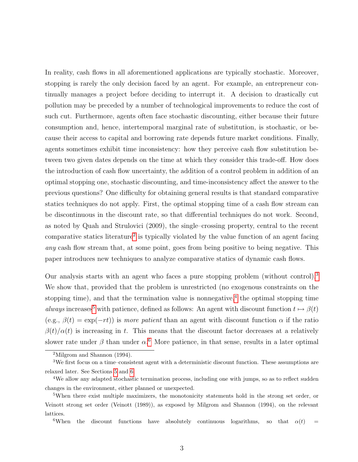In reality, cash flows in all aforementioned applications are typically stochastic. Moreover, stopping is rarely the only decision faced by an agent. For example, an entrepreneur continually manages a project before deciding to interrupt it. A decision to drastically cut pollution may be preceded by a number of technological improvements to reduce the cost of such cut. Furthermore, agents often face stochastic discounting, either because their future consumption and, hence, intertemporal marginal rate of substitution, is stochastic, or because their access to capital and borrowing rate depends future market conditions. Finally, agents sometimes exhibit time inconsistency: how they perceive cash flow substitution between two given dates depends on the time at which they consider this trade-off. How does the introduction of cash flow uncertainty, the addition of a control problem in addition of an optimal stopping one, stochastic discounting, and time-inconsistency affect the answer to the previous questions? One difficulty for obtaining general results is that standard comparative statics techniques do not apply. First, the optimal stopping time of a cash flow stream can be discontinuous in the discount rate, so that differential techniques do not work. Second, as noted by Quah and Strulovici (2009), the single–crossing property, central to the recent comparative statics literature<sup>[2](#page-2-0)</sup> is typically violated by the value function of an agent facing any cash flow stream that, at some point, goes from being positive to being negative. This paper introduces new techniques to analyze comparative statics of dynamic cash flows.

Our analysis starts with an agent who faces a pure stopping problem (without control).<sup>[3](#page-2-1)</sup> We show that, provided that the problem is unrestricted (no exogenous constraints on the stopping time), and that the termination value is nonnegative,<sup>[4](#page-2-2)</sup> the optimal stopping time always increases<sup>[5](#page-2-3)</sup> with patience, defined as follows: An agent with discount function  $t \mapsto \beta(t)$ (e.g.,  $\beta(t) = \exp(-rt)$ ) is more patient than an agent with discount function  $\alpha$  if the ratio  $\beta(t)/\alpha(t)$  is increasing in t. This means that the discount factor decreases at a relatively slower rate under  $\beta$  than under  $\alpha$ .<sup>[6](#page-2-4)</sup> More patience, in that sense, results in a later optimal

<span id="page-2-4"></span><sup>6</sup>When the discount functions have absolutely continuous logarithms, so that  $\alpha(t)$  =

<span id="page-2-1"></span><span id="page-2-0"></span><sup>2</sup>Milgrom and Shannon (1994).

<sup>3</sup>We first focus on a time–consistent agent with a deterministic discount function. These assumptions are relaxed later. See Sections [5](#page-18-0) and [6.](#page-23-0)

<span id="page-2-2"></span><sup>&</sup>lt;sup>4</sup>We allow any adapted stochastic termination process, including one with jumps, so as to reflect sudden changes in the environment, either planned or unexpected.

<span id="page-2-3"></span><sup>5</sup>When there exist multiple maximizers, the monotonicity statements hold in the strong set order, or Veinott strong set order (Veinott (1989)), as exposed by Milgrom and Shannon (1994), on the relevant lattices.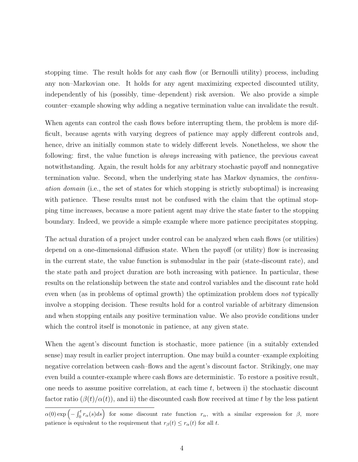stopping time. The result holds for any cash flow (or Bernoulli utility) process, including any non–Markovian one. It holds for any agent maximizing expected discounted utility, independently of his (possibly, time–dependent) risk aversion. We also provide a simple counter–example showing why adding a negative termination value can invalidate the result.

When agents can control the cash flows before interrupting them, the problem is more difficult, because agents with varying degrees of patience may apply different controls and, hence, drive an initially common state to widely different levels. Nonetheless, we show the following: first, the value function is *always* increasing with patience, the previous caveat notwithstanding. Again, the result holds for any arbitrary stochastic payoff and nonnegative termination value. Second, when the underlying state has Markov dynamics, the continuation domain (i.e., the set of states for which stopping is strictly suboptimal) is increasing with patience. These results must not be confused with the claim that the optimal stopping time increases, because a more patient agent may drive the state faster to the stopping boundary. Indeed, we provide a simple example where more patience precipitates stopping.

The actual duration of a project under control can be analyzed when cash flows (or utilities) depend on a one-dimensional diffusion state. When the payoff (or utility) flow is increasing in the current state, the value function is submodular in the pair (state-discount rate), and the state path and project duration are both increasing with patience. In particular, these results on the relationship between the state and control variables and the discount rate hold even when (as in problems of optimal growth) the optimization problem does not typically involve a stopping decision. These results hold for a control variable of arbitrary dimension and when stopping entails any positive termination value. We also provide conditions under which the control itself is monotonic in patience, at any given state.

When the agent's discount function is stochastic, more patience (in a suitably extended sense) may result in earlier project interruption. One may build a counter–example exploiting negative correlation between cash–flows and the agent's discount factor. Strikingly, one may even build a counter-example where cash flows are deterministic. To restore a positive result, one needs to assume positive correlation, at each time  $t$ , between i) the stochastic discount factor ratio  $(\beta(t)/\alpha(t))$ , and ii) the discounted cash flow received at time t by the less patient

 $\alpha(0) \exp \left(-\int_0^t r_\alpha(s)ds\right)$  for some discount rate function  $r_\alpha$ , with a similar expression for  $\beta$ , more patience is equivalent to the requirement that  $r_\beta(t) \leq r_\alpha(t)$  for all t.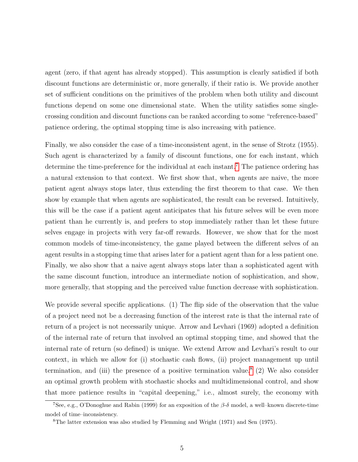agent (zero, if that agent has already stopped). This assumption is clearly satisfied if both discount functions are deterministic or, more generally, if their ratio is. We provide another set of sufficient conditions on the primitives of the problem when both utility and discount functions depend on some one dimensional state. When the utility satisfies some singlecrossing condition and discount functions can be ranked according to some "reference-based" patience ordering, the optimal stopping time is also increasing with patience.

Finally, we also consider the case of a time-inconsistent agent, in the sense of Strotz (1955). Such agent is characterized by a family of discount functions, one for each instant, which determine the time-preference for the individual at each instant.<sup>[7](#page-4-0)</sup> The patience ordering has a natural extension to that context. We first show that, when agents are naive, the more patient agent always stops later, thus extending the first theorem to that case. We then show by example that when agents are sophisticated, the result can be reversed. Intuitively, this will be the case if a patient agent anticipates that his future selves will be even more patient than he currently is, and prefers to stop immediately rather than let these future selves engage in projects with very far-off rewards. However, we show that for the most common models of time-inconsistency, the game played between the different selves of an agent results in a stopping time that arises later for a patient agent than for a less patient one. Finally, we also show that a naive agent always stops later than a sophisticated agent with the same discount function, introduce an intermediate notion of sophistication, and show, more generally, that stopping and the perceived value function decrease with sophistication.

We provide several specific applications. (1) The flip side of the observation that the value of a project need not be a decreasing function of the interest rate is that the internal rate of return of a project is not necessarily unique. Arrow and Levhari (1969) adopted a definition of the internal rate of return that involved an optimal stopping time, and showed that the internal rate of return (so defined) is unique. We extend Arrow and Levhari's result to our context, in which we allow for (i) stochastic cash flows, (ii) project management up until termination, and (iii) the presence of a positive termination value.<sup>[8](#page-4-1)</sup> (2) We also consider an optimal growth problem with stochastic shocks and multidimensional control, and show that more patience results in "capital deepening," i.e., almost surely, the economy with

<span id="page-4-0"></span><sup>&</sup>lt;sup>7</sup>See, e.g., O'Donoghue and Rabin (1999) for an exposition of the  $\beta$ -δ model, a well–known discrete-time model of time–inconsistency.

<span id="page-4-1"></span><sup>8</sup>The latter extension was also studied by Flemming and Wright (1971) and Sen (1975).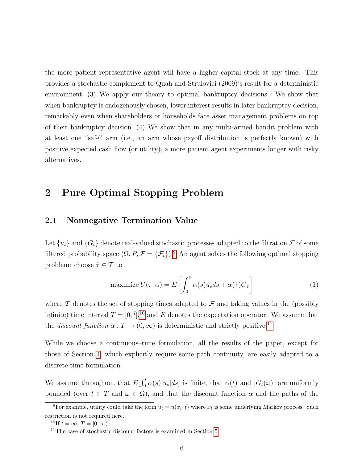the more patient representative agent will have a higher capital stock at any time. This provides a stochastic complement to Quah and Strulovici (2009)'s result for a deterministic environment. (3) We apply our theory to optimal bankruptcy decisions. We show that when bankruptcy is endogenously chosen, lower interest results in later bankruptcy decision, remarkably even when shareholders or households face asset management problems on top of their bankruptcy decision. (4) We show that in any multi-armed bandit problem with at least one "safe" arm (i.e., an arm whose payoff distribution is perfectly known) with positive expected cash flow (or utility), a more patient agent experiments longer with risky alternatives.

# <span id="page-5-4"></span>2 Pure Optimal Stopping Problem

#### 2.1 Nonnegative Termination Value

Let  ${u_t}$  and  ${G_t}$  denote real-valued stochastic processes adapted to the filtration  $\mathcal F$  of some filtered probability space  $(\Omega, P, \mathcal{F} = {\{\mathcal{F}_t\}})^9$  $(\Omega, P, \mathcal{F} = {\{\mathcal{F}_t\}})^9$ . An agent solves the following optimal stopping problem: choose  $\hat{\tau} \in \mathcal{T}$  to

<span id="page-5-3"></span>maximize 
$$
U(\hat{\tau}; \alpha) = E\left[\int_0^{\hat{\tau}} \alpha(s) u_s ds + \alpha(\hat{\tau}) G_{\hat{\tau}}\right]
$$
 (1)

where  $\mathcal T$  denotes the set of stopping times adapted to  $\mathcal F$  and taking values in the (possibly infinite) time interval  $T = [0, \bar{t}]$ ,<sup>[10](#page-5-1)</sup> and E denotes the expectation operator. We assume that the *discount function*  $\alpha: T \to (0, \infty)$  is deterministic and strictly positive.<sup>[11](#page-5-2)</sup>

While we choose a continuous–time formulation, all the results of the paper, except for those of Section [4,](#page-12-0) which explicitly require some path continuity, are easily adapted to a discrete-time formulation.

We assume throughout that  $E[\int_0^{\bar{t}} \alpha(s)|u_s|ds]$  is finite, that  $\alpha(t)$  and  $|G_t(\omega)|$  are uniformly bounded (over  $t \in T$  and  $\omega \in \Omega$ ), and that the discount function  $\alpha$  and the paths of the

<span id="page-5-0"></span><sup>&</sup>lt;sup>9</sup>For example, utility could take the form  $u_t = u(x_t, t)$  where  $x_t$  is some underlying Markov process. Such restriction is not required here.

<span id="page-5-2"></span><span id="page-5-1"></span><sup>&</sup>lt;sup>10</sup>If  $\bar{t} = \infty$ ,  $T = [0, \infty)$ .

<sup>&</sup>lt;sup>11</sup>The case of stochastic discount factors is examined in Section [5.](#page-18-0)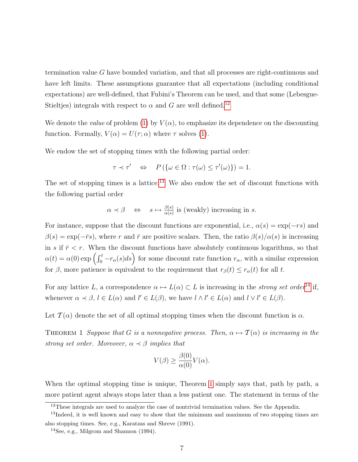termination value G have bounded variation, and that all processes are right-continuous and have left limits. These assumptions guarantee that all expectations (including conditional expectations) are well-defined, that Fubini's Theorem can be used, and that some (Lebesgue-Stieltjes) integrals with respect to  $\alpha$  and G are well defined.<sup>[12](#page-6-0)</sup>

We denote the value of problem [\(1\)](#page-5-3) by  $V(\alpha)$ , to emphasize its dependence on the discounting function. Formally,  $V(\alpha) = U(\tau; \alpha)$  where  $\tau$  solves [\(1\)](#page-5-3).

We endow the set of stopping times with the following partial order:

$$
\tau \prec \tau' \quad \Leftrightarrow \quad P(\{\omega \in \Omega : \tau(\omega) \le \tau'(\omega)\}) = 1.
$$

The set of stopping times is a lattice.<sup>[13](#page-6-1)</sup> We also endow the set of discount functions with the following partial order

$$
\alpha \prec \beta \quad \Leftrightarrow \quad s \mapsto \frac{\beta(s)}{\alpha(s)}
$$
 is (weakly) increasing in s.

For instance, suppose that the discount functions are exponential, i.e.,  $\alpha(s) = \exp(-rs)$  and  $\beta(s) = \exp(-\bar{r}s)$ , where r and  $\bar{r}$  are positive scalars. Then, the ratio  $\beta(s)/\alpha(s)$  is increasing in s if  $\bar{r} < r$ . When the discount functions have absolutely continuous logarithms, so that  $\alpha(t) = \alpha(0) \exp \left( \int_0^t -r_\alpha(s)ds \right)$  for some discount rate function  $r_\alpha$ , with a similar expression for  $\beta$ , more patience is equivalent to the requirement that  $r_{\beta}(t) \leq r_{\alpha}(t)$  for all t.

For any lattice L, a correspondence  $\alpha \mapsto L(\alpha) \subset L$  is increasing in the *strong set order*<sup>[14](#page-6-2)</sup> if, whenever  $\alpha \prec \beta$ ,  $l \in L(\alpha)$  and  $l' \in L(\beta)$ , we have  $l \wedge l' \in L(\alpha)$  and  $l \vee l' \in L(\beta)$ .

<span id="page-6-3"></span>Let  $\mathcal{T}(\alpha)$  denote the set of all optimal stopping times when the discount function is  $\alpha$ .

THEOREM 1 Suppose that G is a nonnegative process. Then,  $\alpha \mapsto \mathcal{T}(\alpha)$  is increasing in the strong set order. Moreover,  $\alpha \prec \beta$  implies that

$$
V(\beta) \ge \frac{\beta(0)}{\alpha(0)} V(\alpha).
$$

When the optimal stopping time is unique, Theorem [1](#page-6-3) simply says that, path by path, a more patient agent always stops later than a less patient one. The statement in terms of the

<span id="page-6-1"></span><span id="page-6-0"></span><sup>&</sup>lt;sup>12</sup>These integrals are used to analyze the case of nontrivial termination values. See the Appendix.

<sup>&</sup>lt;sup>13</sup>Indeed, it is well known and easy to show that the minimum and maximum of two stopping times are also stopping times. See, e.g., Karatzas and Shreve (1991).

<span id="page-6-2"></span><sup>14</sup>See, e.g., Milgrom and Shannon (1994).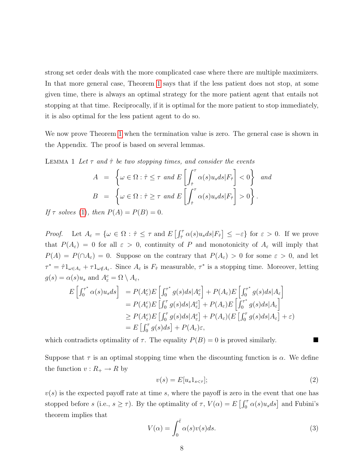strong set order deals with the more complicated case where there are multiple maximizers. In that more general case, Theorem [1](#page-6-3) says that if the less patient does not stop, at some given time, there is always an optimal strategy for the more patient agent that entails not stopping at that time. Reciprocally, if it is optimal for the more patient to stop immediately, it is also optimal for the less patient agent to do so.

We now prove Theorem [1](#page-6-3) when the termination value is zero. The general case is shown in the Appendix. The proof is based on several lemmas.

<span id="page-7-0"></span>LEMMA 1 Let  $\tau$  and  $\hat{\tau}$  be two stopping times, and consider the events

$$
A = \left\{ \omega \in \Omega : \hat{\tau} \le \tau \text{ and } E\left[\int_{\hat{\tau}}^{\tau} \alpha(s)u_s ds | F_{\hat{\tau}} \right] < 0 \right\} \text{ and}
$$

$$
B = \left\{ \omega \in \Omega : \hat{\tau} \ge \tau \text{ and } E\left[\int_{\hat{\tau}}^{\tau} \alpha(s)u_s ds | F_{\hat{\tau}} \right] > 0 \right\}.
$$

If  $\tau$  solves [\(1\)](#page-5-3), then  $P(A) = P(B) = 0$ .

Proof. Let  $A_{\varepsilon} = \{ \omega \in \Omega : \hat{\tau} \leq \tau \text{ and } E \left[ \int_{\hat{\tau}}^{\tau} \alpha(s) u_s ds | F_{\hat{\tau}} \right] \leq -\varepsilon \}$  for  $\varepsilon > 0$ . If we prove that  $P(A_{\varepsilon}) = 0$  for all  $\varepsilon > 0$ , continuity of P and monotonicity of  $A_{\varepsilon}$  will imply that  $P(A) = P(\cap A_{\varepsilon}) = 0$ . Suppose on the contrary that  $P(A_{\varepsilon}) > 0$  for some  $\varepsilon > 0$ , and let  $\tau^* = \hat{\tau} 1_{\omega \in A_{\varepsilon}} + \tau 1_{\omega \notin A_{\varepsilon}}$ . Since  $A_{\varepsilon}$  is  $F_{\hat{\tau}}$  measurable,  $\tau^*$  is a stopping time. Moreover, letting  $g(s) = \alpha(s)u_s$  and  $A_\varepsilon^c = \Omega \setminus A_\varepsilon$ ,

$$
E\left[\int_0^{\tau^*} \alpha(s)u_s ds\right] = P(A_\varepsilon^c)E\left[\int_0^{\tau^*} g(s)ds | A_\varepsilon^c\right] + P(A_\varepsilon)E\left[\int_0^{\tau^*} g(s)ds | A_\varepsilon\right]
$$
  
\n
$$
= P(A_\varepsilon^c)E\left[\int_0^{\tau} g(s)ds | A_\varepsilon^c\right] + P(A_\varepsilon)E\left[\int_0^{\tau^*} g(s)ds | A_\varepsilon\right]
$$
  
\n
$$
\geq P(A_\varepsilon^c)E\left[\int_0^{\tau} g(s)ds | A_\varepsilon^c\right] + P(A_\varepsilon)(E\left[\int_0^{\tau} g(s)ds | A_\varepsilon\right] + \varepsilon)
$$
  
\n
$$
= E\left[\int_0^{\tau} g(s)ds\right] + P(A_\varepsilon)\varepsilon,
$$

which contradicts optimality of  $\tau$ . The equality  $P(B) = 0$  is proved similarly.

Suppose that  $\tau$  is an optimal stopping time when the discounting function is  $\alpha$ . We define the function  $v: R_+ \to R$  by

<span id="page-7-1"></span>
$$
v(s) = E[u_s 1_{s < \tau}];\tag{2}
$$

 $v(s)$  is the expected payoff rate at time s, where the payoff is zero in the event that one has stopped before  $s$  (i.e.,  $s \geq \tau$ ). By the optimality of  $\tau$ ,  $V(\alpha) = E\left[\int_0^{\tau} \alpha(s) u_s ds\right]$  and Fubini's theorem implies that

$$
V(\alpha) = \int_0^{\bar{t}} \alpha(s)v(s)ds.
$$
 (3)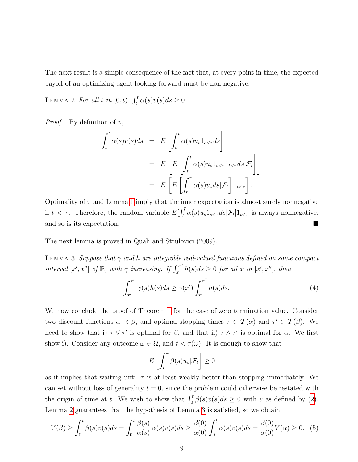The next result is a simple consequence of the fact that, at every point in time, the expected payoff of an optimizing agent looking forward must be non-negative.

<span id="page-8-0"></span>LEMMA 2 For all t in  $[0, \bar{t})$ ,  $\int_t^{\bar{t}} \alpha(s)v(s)ds \ge 0$ .

*Proof.* By definition of  $v$ ,

$$
\int_{t}^{\bar{t}} \alpha(s)v(s)ds = E\left[\int_{t}^{\bar{t}} \alpha(s)u_{s}1_{s<\tau}ds\right]
$$
  

$$
= E\left[E\left[\int_{t}^{\bar{t}} \alpha(s)u_{s}1_{s<\tau}1_{t<\tau}ds|\mathcal{F}_{t}\right]\right]
$$
  

$$
= E\left[E\left[\int_{t}^{\tau} \alpha(s)u_{s}ds|\mathcal{F}_{t}\right]1_{t<\tau}\right].
$$

Optimality of  $\tau$  and Lemma [1](#page-7-0) imply that the inner expectation is almost surely nonnegative if  $t < \tau$ . Therefore, the random variable  $E[\int_t^{\bar{t}} \alpha(s)u_s1_{s<\tau}ds|\mathcal{F}_t]1_{t<\tau}$  is always nonnegative, and so is its expectation.

The next lemma is proved in Quah and Strulovici (2009).

LEMMA 3 Suppose that  $\gamma$  and h are integrable real-valued functions defined on some compact interval  $[x', x'']$  of  $\mathbb{R}$ , with  $\gamma$  increasing. If  $\int_x^{x''}$  $x^{x'}$   $h(s)ds \geq 0$  for all x in  $[x', x'']$ , then

<span id="page-8-1"></span>
$$
\int_{x'}^{x''} \gamma(s)h(s)ds \ge \gamma(x') \int_{x'}^{x''} h(s)ds. \tag{4}
$$

We now conclude the proof of Theorem [1](#page-6-3) for the case of zero termination value. Consider two discount functions  $\alpha \prec \beta$ , and optimal stopping times  $\tau \in \mathcal{T}(\alpha)$  and  $\tau' \in \mathcal{T}(\beta)$ . We need to show that i)  $\tau \vee \tau'$  is optimal for  $\beta$ , and that ii)  $\tau \wedge \tau'$  is optimal for  $\alpha$ . We first show i). Consider any outcome  $\omega \in \Omega$ , and  $t < \tau(\omega)$ . It is enough to show that

<span id="page-8-2"></span>
$$
E\left[\int_t^\tau \beta(s)u_s|\mathcal{F}_t\right] \ge 0
$$

as it implies that waiting until  $\tau$  is at least weakly better than stopping immediately. We can set without loss of generality  $t = 0$ , since the problem could otherwise be restated with the origin of time at t. We wish to show that  $\int_0^{\overline{t}} \beta(s)v(s)ds \geq 0$  with v as defined by [\(2\)](#page-7-1). Lemma [2](#page-8-0) guarantees that the hypothesis of Lemma [3](#page-8-1) is satisfied, so we obtain

$$
V(\beta) \ge \int_0^{\bar{t}} \beta(s)v(s)ds = \int_0^{\bar{t}} \frac{\beta(s)}{\alpha(s)} \alpha(s)v(s)ds \ge \frac{\beta(0)}{\alpha(0)} \int_0^{\bar{t}} \alpha(s)v(s)ds = \frac{\beta(0)}{\alpha(0)} V(\alpha) \ge 0. \tag{5}
$$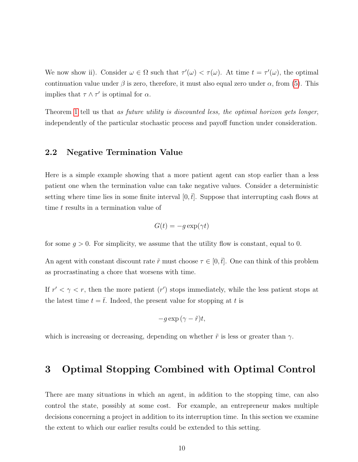We now show ii). Consider  $\omega \in \Omega$  such that  $\tau'(\omega) < \tau(\omega)$ . At time  $t = \tau'(\omega)$ , the optimal continuation value under  $\beta$  is zero, therefore, it must also equal zero under  $\alpha$ , from [\(5\)](#page-8-2). This implies that  $\tau \wedge \tau'$  is optimal for  $\alpha$ .

Theorem [1](#page-6-3) tell us that as future utility is discounted less, the optimal horizon gets longer, independently of the particular stochastic process and payoff function under consideration.

#### 2.2 Negative Termination Value

Here is a simple example showing that a more patient agent can stop earlier than a less patient one when the termination value can take negative values. Consider a deterministic setting where time lies in some finite interval  $[0, t]$ . Suppose that interrupting cash flows at time t results in a termination value of

$$
G(t) = -g \exp(\gamma t)
$$

for some  $g > 0$ . For simplicity, we assume that the utility flow is constant, equal to 0.

An agent with constant discount rate  $\tilde{r}$  must choose  $\tau \in [0, \bar{t}]$ . One can think of this problem as procrastinating a chore that worsens with time.

If  $r' < \gamma < r$ , then the more patient  $(r')$  stops immediately, while the less patient stops at the latest time  $t = \overline{t}$ . Indeed, the present value for stopping at t is

$$
-g\exp\left( \gamma-\tilde{r}\right) t,
$$

which is increasing or decreasing, depending on whether  $\tilde{r}$  is less or greater than  $\gamma$ .

## 3 Optimal Stopping Combined with Optimal Control

There are many situations in which an agent, in addition to the stopping time, can also control the state, possibly at some cost. For example, an entrepreneur makes multiple decisions concerning a project in addition to its interruption time. In this section we examine the extent to which our earlier results could be extended to this setting.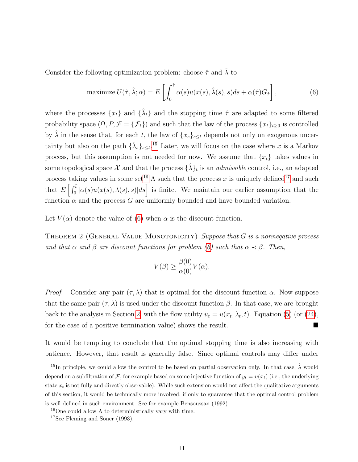Consider the following optimization problem: choose  $\hat{\tau}$  and  $\hat{\lambda}$  to

<span id="page-10-3"></span>maximize 
$$
U(\hat{\tau}, \hat{\lambda}; \alpha) = E\left[\int_0^{\hat{\tau}} \alpha(s) u(x(s), \hat{\lambda}(s), s) ds + \alpha(\hat{\tau}) G_{\hat{\tau}}\right],
$$
 (6)

where the processes  $\{x_t\}$  and  $\{\hat{\lambda}_t\}$  and the stopping time  $\hat{\tau}$  are adapted to some filtered probability space  $(\Omega, P, \mathcal{F} = {\{\mathcal{F}_t\}})$  and such that the law of the process  $\{x_t\}_{t\geq 0}$  is controlled by  $\hat{\lambda}$  in the sense that, for each t, the law of  $\{x_s\}_{s\leq t}$  depends not only on exogenous uncertainty but also on the path  $\{\hat{\lambda}_s\}_{s\leq t}$ <sup>[15](#page-10-0)</sup> Later, we will focus on the case where x is a Markov process, but this assumption is not needed for now. We assume that  $\{x_t\}$  takes values in some topological space  $\mathcal X$  and that the process  $\{\hat\lambda\}_t$  is an *admissible* control, i.e., an adapted process taking values in some set<sup>[16](#page-10-1)</sup>  $\Lambda$  such that the process x is uniquely defined<sup>[17](#page-10-2)</sup> and such that  $E\left[\int_0^{\bar{t}} |\alpha(s)u(x(s),\lambda(s),s)|ds\right]$  is finite. We maintain our earlier assumption that the function  $\alpha$  and the process G are uniformly bounded and have bounded variation.

<span id="page-10-4"></span>Let  $V(\alpha)$  denote the value of [\(6\)](#page-10-3) when  $\alpha$  is the discount function.

THEOREM 2 (GENERAL VALUE MONOTONICITY) Suppose that  $G$  is a nonnegative process and that  $\alpha$  and  $\beta$  are discount functions for problem [\(6\)](#page-10-3) such that  $\alpha \prec \beta$ . Then,

$$
V(\beta) \ge \frac{\beta(0)}{\alpha(0)} V(\alpha).
$$

*Proof.* Consider any pair  $(\tau, \lambda)$  that is optimal for the discount function  $\alpha$ . Now suppose that the same pair  $(\tau, \lambda)$  is used under the discount function  $\beta$ . In that case, we are brought back to the analysis in Section [2,](#page-5-4) with the flow utility  $u_t = u(x_t, \lambda_t, t)$ . Equation [\(5\)](#page-8-2) (or [\(24\)](#page-42-0), for the case of a positive termination value) shows the result.

It would be tempting to conclude that the optimal stopping time is also increasing with patience. However, that result is generally false. Since optimal controls may differ under

<span id="page-10-0"></span><sup>&</sup>lt;sup>15</sup>In principle, we could allow the control to be based on partial observation only. In that case,  $\hat{\lambda}$  would depend on a subfiltration of F, for example based on some injective function of  $y_t = v(x_t)$  (i.e., the underlying state  $x_t$  is not fully and directly observable). While such extension would not affect the qualitative arguments of this section, it would be technically more involved, if only to guarantee that the optimal control problem is well defined in such environment. See for example Bensoussan (1992).

<span id="page-10-2"></span><span id="page-10-1"></span><sup>&</sup>lt;sup>16</sup>One could allow  $\Lambda$  to deterministically vary with time.

<sup>17</sup>See Fleming and Soner (1993).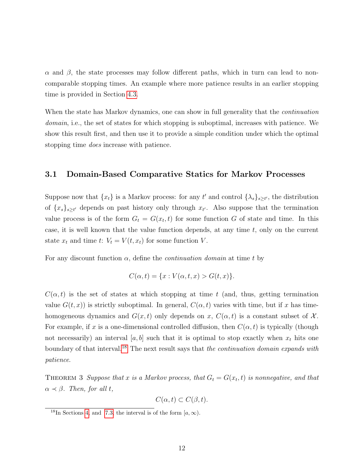$\alpha$  and  $\beta$ , the state processes may follow different paths, which in turn can lead to noncomparable stopping times. An example where more patience results in an earlier stopping time is provided in Section [4.3.](#page-17-0)

When the state has Markov dynamics, one can show in full generality that the *continuation* domain, i.e., the set of states for which stopping is suboptimal, increases with patience. We show this result first, and then use it to provide a simple condition under which the optimal stopping time does increase with patience.

#### 3.1 Domain-Based Comparative Statics for Markov Processes

Suppose now that  $\{x_t\}$  is a Markov process: for any t' and control  $\{\lambda_s\}_{s\geq t'}$ , the distribution of  $\{x_s\}_{s\geq t'}$  depends on past history only through  $x_{t'}$ . Also suppose that the termination value process is of the form  $G_t = G(x_t, t)$  for some function G of state and time. In this case, it is well known that the value function depends, at any time  $t$ , only on the current state  $x_t$  and time  $t: V_t = V(t, x_t)$  for some function V.

For any discount function  $\alpha$ , define the *continuation domain* at time t by

$$
C(\alpha, t) = \{x : V(\alpha, t, x) > G(t, x)\}.
$$

 $C(\alpha, t)$  is the set of states at which stopping at time t (and, thus, getting termination value  $G(t, x)$  is strictly suboptimal. In general,  $C(\alpha, t)$  varies with time, but if x has timehomogeneous dynamics and  $G(x, t)$  only depends on x,  $C(\alpha, t)$  is a constant subset of X. For example, if x is a one-dimensional controlled diffusion, then  $C(\alpha, t)$  is typically (though not necessarily) an interval  $[a, b]$  such that it is optimal to stop exactly when  $x_t$  hits one boundary of that interval.<sup>[18](#page-11-0)</sup> The next result says that the continuation domain expands with patience.

<span id="page-11-1"></span>THEOREM 3 Suppose that x is a Markov process, that  $G_t = G(x_t, t)$  is nonnegative, and that  $\alpha \prec \beta$ . Then, for all t,

$$
C(\alpha, t) \subset C(\beta, t).
$$

<span id="page-11-0"></span><sup>&</sup>lt;sup>18</sup>In Sections [4,](#page-12-0) and [7.3,](#page-35-0) the interval is of the form  $[a,\infty)$ .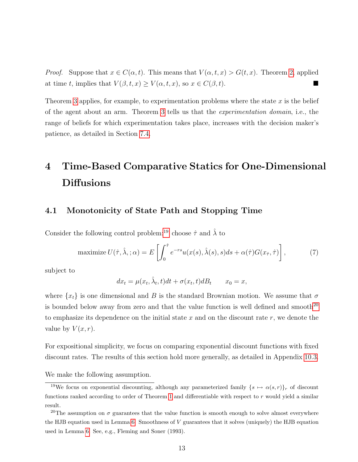*Proof.* Suppose that  $x \in C(\alpha, t)$ . This means that  $V(\alpha, t, x) > G(t, x)$ . Theorem [2,](#page-10-4) applied at time t, implies that  $V(\beta, t, x) \ge V(\alpha, t, x)$ , so  $x \in C(\beta, t)$ .

Theorem [3](#page-11-1) applies, for example, to experimentation problems where the state  $x$  is the belief of the agent about an arm. Theorem [3](#page-11-1) tells us that the experimentation domain, i.e., the range of beliefs for which experimentation takes place, increases with the decision maker's patience, as detailed in Section [7.4.](#page-36-0)

# <span id="page-12-0"></span>4 Time-Based Comparative Statics for One-Dimensional **Diffusions**

#### 4.1 Monotonicity of State Path and Stopping Time

Consider the following control problem:<sup>[19](#page-12-1)</sup> choose  $\hat{\tau}$  and  $\hat{\lambda}$  to

maximize 
$$
U(\hat{\tau}, \hat{\lambda},; \alpha) = E\left[\int_0^{\hat{\tau}} e^{-rs} u(x(s), \hat{\lambda}(s), s) ds + \alpha(\hat{\tau}) G(x_{\hat{\tau}}, \hat{\tau})\right],
$$
 (7)

subject to

$$
dx_t = \mu(x_t, \hat{\lambda}_t, t)dt + \sigma(x_t, t)dB_t \qquad x_0 = x,
$$

where  $\{x_t\}$  is one dimensional and B is the standard Brownian motion. We assume that  $\sigma$ is bounded below away from zero and that the value function is well defined and smooth<sup>[20](#page-12-2)</sup> to emphasize its dependence on the initial state  $x$  and on the discount rate  $r$ , we denote the value by  $V(x, r)$ .

For expositional simplicity, we focus on comparing exponential discount functions with fixed discount rates. The results of this section hold more generally, as detailed in Appendix [10.3.](#page-43-0)

We make the following assumption.

<span id="page-12-1"></span><sup>&</sup>lt;sup>19</sup>We focus on exponential discounting, although any parameterized family  $\{s \mapsto \alpha(s,r)\}\)r}$  of discount functions ranked according to order of Theorem [1](#page-6-3) and differentiable with respect to r would yield a similar result.

<span id="page-12-2"></span><sup>&</sup>lt;sup>20</sup>The assumption on  $\sigma$  guarantees that the value function is smooth enough to solve almost everywhere the HJB equation used in Lemma [6.](#page-15-0) Smoothness of V guarantees that it solves (uniquely) the HJB equation used in Lemma [6.](#page-15-0) See, e.g., Fleming and Soner (1993).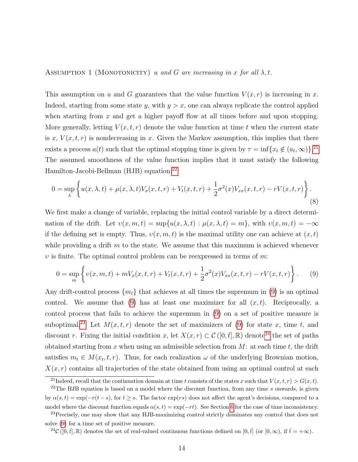ASSUMPTION 1 (MONOTONICITY) u and G are increasing in x for all  $\lambda, t$ .

This assumption on u and G guarantees that the value function  $V(x, r)$  is increasing in x. Indeed, starting from some state y, with  $y > x$ , one can always replicate the control applied when starting from  $x$  and get a higher payoff flow at all times before and upon stopping. More generally, letting  $V(x,t,r)$  denote the value function at time t when the current state is x,  $V(x, t, r)$  is nondecreasing in x. Given the Markov assumption, this implies that there exists a process  $a(t)$  such that the optimal stopping time is given by  $\tau = \inf\{x_t \notin (a_t, \infty)\}\.^{21}$  $\tau = \inf\{x_t \notin (a_t, \infty)\}\.^{21}$  $\tau = \inf\{x_t \notin (a_t, \infty)\}\.^{21}$ The assumed smoothness of the value function implies that it must satisfy the following Hamilton-Jacobi-Bellman (HJB) equation:<sup>[22](#page-13-1)</sup>

<span id="page-13-5"></span>
$$
0 = \sup_{\lambda} \left\{ u(x,\lambda,t) + \mu(x,\lambda,t)V_x(x,t,r) + V_t(x,t,r) + \frac{1}{2}\sigma^2(x)V_{xx}(x,t,r) - rV(x,t,r) \right\}.
$$
\n(8)

We first make a change of variable, replacing the initial control variable by a direct determination of the drift. Let  $v(x, m, t) = \sup\{u(x, \lambda, t) : \mu(x, \lambda, t) = m\}$ , with  $v(x, m, t) = -\infty$ if the defining set is empty. Thus,  $v(x, m, t)$  is the maximal utility one can achieve at  $(x, t)$ while providing a drift  $m$  to the state. We assume that this maximum is achieved whenever v is finite. The optimal control problem can be reexpressed in terms of  $m$ .

<span id="page-13-2"></span>
$$
0 = \sup_{m} \left\{ v(x, m, t) + mV_x(x, t, r) + V_t(x, t, r) + \frac{1}{2} \sigma^2(x) V_{xx}(x, t, r) - rV(x, t, r) \right\}.
$$
 (9)

Any drift-control process  $\{m_t\}$  that achieves at all times the supremum in [\(9\)](#page-13-2) is an optimal control. We assume that [\(9\)](#page-13-2) has at least one maximizer for all  $(x, t)$ . Reciprocally, a control process that fails to achieve the supremum in [\(9\)](#page-13-2) on a set of positive measure is suboptimal.<sup>[23](#page-13-3)</sup> Let  $M(x, t, r)$  denote the set of maximizers of [\(9\)](#page-13-2) for state x, time t, and discount r. Fixing the initial condition x, let  $X(x, r) \subset \mathcal{C}([0, \bar{t}], \mathbb{R})$  denote<sup>[24](#page-13-4)</sup> the set of paths obtained starting from x when using an admissible selection from  $M$ : at each time t, the drift satisfies  $m_t \in M(x_t, t, r)$ . Thus, for each realization  $\omega$  of the underlying Brownian motion,  $X(x, r)$  contains all trajectories of the state obtained from using an optimal control at each

<span id="page-13-1"></span><span id="page-13-0"></span><sup>&</sup>lt;sup>21</sup>Indeed, recall that the continuation domain at time t consists of the states x such that  $V(x, t, r) > G(x, t)$ .

 $22$ The HJB equation is based on a model where the discount function, from any time s onwards, is given by  $\alpha(s,t) = \exp(-r(t-s))$ , for  $t \geq s$ . The factor  $\exp(rs))$  does not affect the agent's decisions, compared to a model where the discount function equals  $\alpha(s, t) = \exp(-rt)$ . See Section [6](#page-23-0) for the case of time inconsistency.

<span id="page-13-3"></span><sup>&</sup>lt;sup>23</sup>Precisely, one may show that any HJB-maximizing control strictly dominates any control that does not solve [\(9\)](#page-13-2) for a time set of positive measure.

<span id="page-13-4"></span><sup>&</sup>lt;sup>24</sup>C ([0, t̄], ℝ) denotes the set of real-valued continuous functions defined on [0, t̄] (or [0, ∞), if  $\bar{t} = +\infty$ ).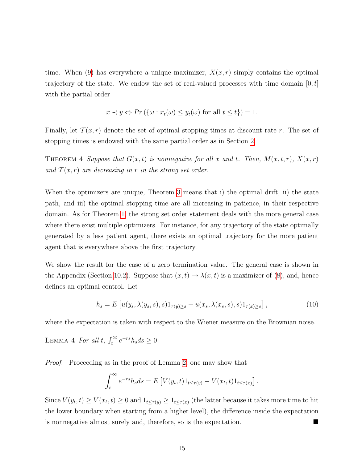time. When [\(9\)](#page-13-2) has everywhere a unique maximizer,  $X(x, r)$  simply contains the optimal trajectory of the state. We endow the set of real-valued processes with time domain  $[0,t]$ with the partial order

$$
x \prec y \Leftrightarrow Pr(\{\omega : x_t(\omega) \le y_t(\omega) \text{ for all } t \le \overline{t}\}) = 1.
$$

Finally, let  $T(x, r)$  denote the set of optimal stopping times at discount rate r. The set of stopping times is endowed with the same partial order as in Section [2.](#page-5-4)

<span id="page-14-1"></span>THEOREM 4 Suppose that  $G(x,t)$  is nonnegative for all x and t. Then,  $M(x,t,r)$ ,  $X(x,r)$ and  $\mathcal{T}(x,r)$  are decreasing in r in the strong set order.

When the optimizers are unique, Theorem [3](#page-11-1) means that i) the optimal drift, ii) the state path, and iii) the optimal stopping time are all increasing in patience, in their respective domain. As for Theorem [1,](#page-6-3) the strong set order statement deals with the more general case where there exist multiple optimizers. For instance, for any trajectory of the state optimally generated by a less patient agent, there exists an optimal trajectory for the more patient agent that is everywhere above the first trajectory.

We show the result for the case of a zero termination value. The general case is shown in the Appendix (Section [10.2\)](#page-42-1). Suppose that  $(x, t) \mapsto \lambda(x, t)$  is a maximizer of [\(8\)](#page-13-5), and, hence defines an optimal control. Let

<span id="page-14-2"></span><span id="page-14-0"></span>
$$
h_s = E\left[u(y_s, \lambda(y_s, s), s)1_{\tau(y)\geq s} - u(x_s, \lambda(x_s, s), s)1_{\tau(x)\geq s}\right],
$$
\n(10)

where the expectation is taken with respect to the Wiener measure on the Brownian noise.

LEMMA 4 For all t,  $\int_t^{\infty} e^{-rs} h_s ds \ge 0$ .

Proof. Proceeding as in the proof of Lemma [2,](#page-8-0) one may show that

$$
\int_t^{\infty} e^{-rs}h_s ds = E\left[V(y_t, t)1_{t \leq \tau(y)} - V(x_t, t)1_{t \leq \tau(x)}\right].
$$

Since  $V(y_t, t) \ge V(x_t, t) \ge 0$  and  $1_{t \le \tau(y)} \ge 1_{t \le \tau(x)}$  (the latter because it takes more time to hit the lower boundary when starting from a higher level), the difference inside the expectation is nonnegative almost surely and, therefore, so is the expectation.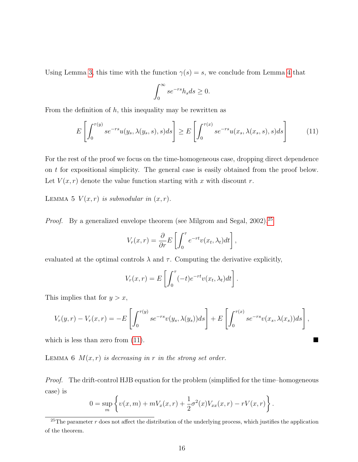Using Lemma [3,](#page-8-1) this time with the function  $\gamma(s) = s$ , we conclude from Lemma [4](#page-14-0) that

<span id="page-15-2"></span>
$$
\int_0^\infty s e^{-rs} h_s ds \ge 0.
$$

From the definition of  $h$ , this inequality may be rewritten as

$$
E\left[\int_0^{\tau(y)} s e^{-rs} u(y_s, \lambda(y_s, s), s) ds\right] \ge E\left[\int_0^{\tau(x)} s e^{-rs} u(x_s, \lambda(x_s, s), s) ds\right]
$$
(11)

For the rest of the proof we focus on the time-homogeneous case, dropping direct dependence on t for expositional simplicity. The general case is easily obtained from the proof below. Let  $V(x, r)$  denote the value function starting with x with discount r.

<span id="page-15-3"></span>LEMMA 5  $V(x, r)$  is submodular in  $(x, r)$ .

*Proof.* By a generalized envelope theorem (see Milgrom and Segal,  $2002$ ),  $25$ 

$$
V_r(x,r) = \frac{\partial}{\partial r} E\left[\int_0^{\tau} e^{-rt} v(x_t, \lambda_t) dt\right],
$$

evaluated at the optimal controls  $\lambda$  and  $\tau$ . Computing the derivative explicitly,

$$
V_r(x,r) = E\left[\int_0^{\tau} (-t)e^{-rt}v(x_t,\lambda_t)dt\right].
$$

This implies that for  $y > x$ ,

$$
V_r(y,r) - V_r(x,r) = -E\left[\int_0^{\tau(y)} s e^{-rs} v(y_s, \lambda(y_s)) ds\right] + E\left[\int_0^{\tau(x)} s e^{-rs} v(x_s, \lambda(x_s)) ds\right],
$$

<span id="page-15-0"></span>which is less than zero from  $(11)$ .

LEMMA 6  $M(x, r)$  is decreasing in r in the strong set order.

Proof. The drift-control HJB equation for the problem (simplified for the time–homogeneous case) is

$$
0 = \sup_{m} \left\{ v(x, m) + mV_x(x, r) + \frac{1}{2}\sigma^2(x)V_{xx}(x, r) - rV(x, r) \right\}.
$$

<span id="page-15-1"></span><sup>&</sup>lt;sup>25</sup>The parameter r does not affect the distribution of the underlying process, which justifies the application of the theorem.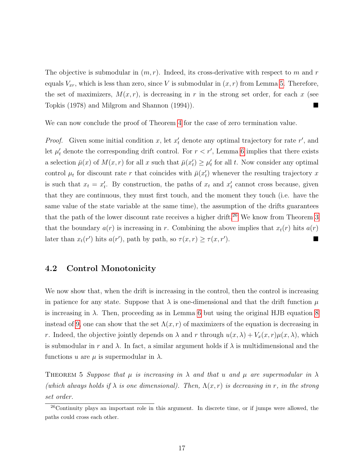The objective is submodular in  $(m, r)$ . Indeed, its cross-derivative with respect to m and r equals  $V_{xr}$ , which is less than zero, since V is submodular in  $(x, r)$  from Lemma [5.](#page-15-3) Therefore, the set of maximizers,  $M(x, r)$ , is decreasing in r in the strong set order, for each x (see Topkis (1978) and Milgrom and Shannon (1994)).

We can now conclude the proof of Theorem [4](#page-14-1) for the case of zero termination value.

*Proof.* Given some initial condition x, let  $x'_t$  denote any optimal trajectory for rate r', and let  $\mu'_{t}$  denote the corresponding drift control. For  $r < r'$ , Lemma [6](#page-15-0) implies that there exists a selection  $\bar{\mu}(x)$  of  $M(x,r)$  for all x such that  $\bar{\mu}(x_t') \geq \mu'_t$  for all t. Now consider any optimal control  $\mu_t$  for discount rate r that coincides with  $\bar{\mu}(x_t)$  whenever the resulting trajectory x is such that  $x_t = x'_t$ . By construction, the paths of  $x_t$  and  $x'_t$  cannot cross because, given that they are continuous, they must first touch, and the moment they touch (i.e. have the same value of the state variable at the same time), the assumption of the drifts guarantees that the path of the lower discount rate receives a higher drift.<sup>[26](#page-16-0)</sup> We know from Theorem [3](#page-11-1) that the boundary  $a(r)$  is increasing in r. Combining the above implies that  $x_t(r)$  hits  $a(r)$ later than  $x_t(r')$  hits  $a(r')$ , path by path, so  $\tau(x,r) \geq \tau(x,r')$ ).

#### 4.2 Control Monotonicity

We now show that, when the drift is increasing in the control, then the control is increasing in patience for any state. Suppose that  $\lambda$  is one-dimensional and that the drift function  $\mu$ is increasing in  $\lambda$ . Then, proceeding as in Lemma [6](#page-15-0) but using the original HJB equation [8](#page-13-5) instead of [9,](#page-13-2) one can show that the set  $\Lambda(x, r)$  of maximizers of the equation is decreasing in r. Indeed, the objective jointly depends on  $\lambda$  and r through  $u(x, \lambda) + V_x(x, r)\mu(x, \lambda)$ , which is submodular in r and  $\lambda$ . In fact, a similar argument holds if  $\lambda$  is multidimensional and the functions u are  $\mu$  is supermodular in  $\lambda$ .

THEOREM 5 Suppose that  $\mu$  is increasing in  $\lambda$  and that u and  $\mu$  are supermodular in  $\lambda$ (which always holds if  $\lambda$  is one dimensional). Then,  $\Lambda(x,r)$  is decreasing in r, in the strong set order.

<span id="page-16-0"></span> $26$ Continuity plays an important role in this argument. In discrete time, or if jumps were allowed, the paths could cross each other.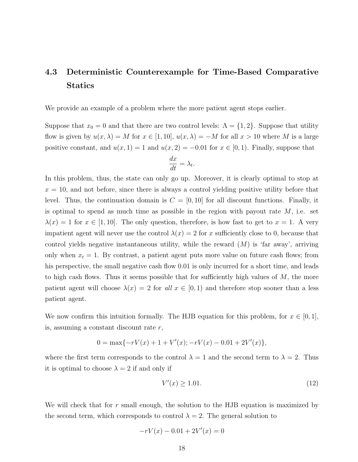# <span id="page-17-0"></span>4.3 Deterministic Counterexample for Time-Based Comparative Statics

We provide an example of a problem where the more patient agent stops earlier.

Suppose that  $x_0 = 0$  and that there are two control levels:  $\Lambda = \{1, 2\}$ . Suppose that utility flow is given by  $u(x, \lambda) = M$  for  $x \in [1, 10]$ ,  $u(x, \lambda) = -M$  for all  $x > 10$  where M is a large positive constant, and  $u(x, 1) = 1$  and  $u(x, 2) = -0.01$  for  $x \in [0, 1)$ . Finally, suppose that

$$
\frac{dx}{dt} = \lambda_t.
$$

In this problem, thus, the state can only go up. Moreover, it is clearly optimal to stop at  $x = 10$ , and not before, since there is always a control yielding positive utility before that level. Thus, the continuation domain is  $C = [0, 10]$  for all discount functions. Finally, it is optimal to spend as much time as possible in the region with payout rate  $M$ , i.e. set  $\lambda(x) = 1$  for  $x \in [1, 10]$ . The only question, therefore, is how fast to get to  $x = 1$ . A very impatient agent will never use the control  $\lambda(x) = 2$  for x sufficiently close to 0, because that control yields negative instantaneous utility, while the reward  $(M)$  is 'far away', arriving only when  $x_t = 1$ . By contrast, a patient agent puts more value on future cash flows; from his perspective, the small negative cash flow 0.01 is only incurred for a short time, and leads to high cash flows. Thus it seems possible that for sufficiently high values of  $M$ , the more patient agent will choose  $\lambda(x) = 2$  for all  $x \in [0,1)$  and therefore stop sooner than a less patient agent.

We now confirm this intuition formally. The HJB equation for this problem, for  $x \in [0,1]$ , is, assuming a constant discount rate r,

$$
0 = \max\{-rV(x) + 1 + V'(x); -rV(x) - 0.01 + 2V'(x)\},\
$$

where the first term corresponds to the control  $\lambda = 1$  and the second term to  $\lambda = 2$ . Thus it is optimal to choose  $\lambda = 2$  if and only if

<span id="page-17-1"></span>
$$
V'(x) \ge 1.01.\tag{12}
$$

We will check that for  $r$  small enough, the solution to the HJB equation is maximized by the second term, which corresponds to control  $\lambda = 2$ . The general solution to

$$
-rV(x) - 0.01 + 2V'(x) = 0
$$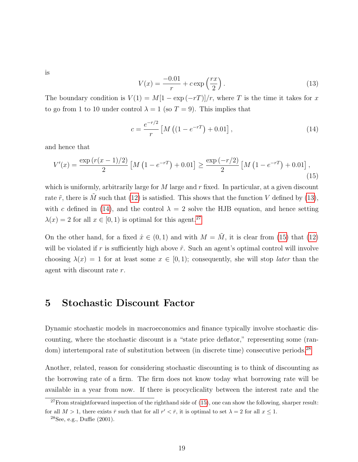<span id="page-18-1"></span>is

<span id="page-18-2"></span>
$$
V(x) = \frac{-0.01}{r} + c \exp\left(\frac{rx}{2}\right). \tag{13}
$$

The boundary condition is  $V(1) = M[1 - \exp(-rT)]/r$ , where T is the time it takes for x to go from 1 to 10 under control  $\lambda = 1$  (so  $T = 9$ ). This implies that

<span id="page-18-4"></span>
$$
c = \frac{e^{-r/2}}{r} \left[ M \left( (1 - e^{-rT}) + 0.01 \right], \right. \tag{14}
$$

and hence that

$$
V'(x) = \frac{\exp(r(x-1)/2)}{2} \left[ M\left(1 - e^{-rT}\right) + 0.01 \right] \ge \frac{\exp(-r/2)}{2} \left[ M\left(1 - e^{-rT}\right) + 0.01 \right],\tag{15}
$$

which is uniformly, arbitrarily large for M large and  $r$  fixed. In particular, at a given discount rate  $\tilde{r}$ , there is  $\tilde{M}$  such that [\(12\)](#page-17-1) is satisfied. This shows that the function V defined by [\(13\)](#page-18-1), with c defined in [\(14\)](#page-18-2), and the control  $\lambda = 2$  solve the HJB equation, and hence setting  $\lambda(x) = 2$  for all  $x \in [0, 1)$  is optimal for this agent.<sup>[27](#page-18-3)</sup>

On the other hand, for a fixed  $\hat{x} \in (0,1)$  and with  $M = \tilde{M}$ , it is clear from [\(15\)](#page-18-4) that [\(12\)](#page-17-1) will be violated if r is sufficiently high above  $\tilde{r}$ . Such an agent's optimal control will involve choosing  $\lambda(x) = 1$  for at least some  $x \in [0,1)$ ; consequently, she will stop *later* than the agent with discount rate r.

### <span id="page-18-0"></span>5 Stochastic Discount Factor

Dynamic stochastic models in macroeconomics and finance typically involve stochastic discounting, where the stochastic discount is a "state price deflator," representing some (ran-dom) intertemporal rate of substitution between (in discrete time) consecutive periods.<sup>[28](#page-18-5)</sup>

Another, related, reason for considering stochastic discounting is to think of discounting as the borrowing rate of a firm. The firm does not know today what borrowing rate will be available in a year from now. If there is procyclicality between the interest rate and the

<span id="page-18-3"></span> $27$ From straightforward inspection of the righthand side of [\(15\)](#page-18-4), one can show the following, sharper result: for all  $M > 1$ , there exists  $\bar{r}$  such that for all  $r' < \bar{r}$ , it is optimal to set  $\lambda = 2$  for all  $x \le 1$ .

<span id="page-18-5"></span> $^{28}$ See, e.g., Duffie (2001).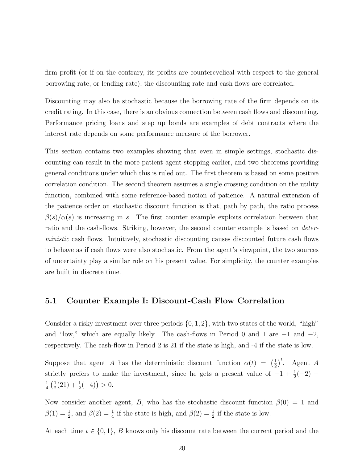firm profit (or if on the contrary, its profits are countercyclical with respect to the general borrowing rate, or lending rate), the discounting rate and cash flows are correlated.

Discounting may also be stochastic because the borrowing rate of the firm depends on its credit rating. In this case, there is an obvious connection between cash flows and discounting. Performance pricing loans and step up bonds are examples of debt contracts where the interest rate depends on some performance measure of the borrower.

This section contains two examples showing that even in simple settings, stochastic discounting can result in the more patient agent stopping earlier, and two theorems providing general conditions under which this is ruled out. The first theorem is based on some positive correlation condition. The second theorem assumes a single crossing condition on the utility function, combined with some reference-based notion of patience. A natural extension of the patience order on stochastic discount function is that, path by path, the ratio process  $\beta(s)/\alpha(s)$  is increasing in s. The first counter example exploits correlation between that ratio and the cash-flows. Striking, however, the second counter example is based on deterministic cash flows. Intuitively, stochastic discounting causes discounted future cash flows to behave as if cash flows were also stochastic. From the agent's viewpoint, the two sources of uncertainty play a similar role on his present value. For simplicity, the counter examples are built in discrete time.

#### 5.1 Counter Example I: Discount-Cash Flow Correlation

Consider a risky investment over three periods  $\{0, 1, 2\}$ , with two states of the world, "high" and "low," which are equally likely. The cash-flows in Period 0 and 1 are  $-1$  and  $-2$ , respectively. The cash-flow in Period 2 is 21 if the state is high, and -4 if the state is low.

Suppose that agent A has the deterministic discount function  $\alpha(t) = \left(\frac{1}{2}\right)^2$  $(\frac{1}{2})^t$ . Agent A strictly prefers to make the investment, since he gets a present value of  $-1 + \frac{1}{2}(-2)$  + 1  $rac{1}{4}$   $rac{1}{2}$  $\frac{1}{2}(21) + \frac{1}{2}(-4) > 0.$ 

Now consider another agent, B, who has the stochastic discount function  $\beta(0) = 1$  and  $\beta(1) = \frac{1}{2}$ , and  $\beta(2) = \frac{1}{4}$  if the state is high, and  $\beta(2) = \frac{1}{2}$  if the state is low.

At each time  $t \in \{0,1\}$ , B knows only his discount rate between the current period and the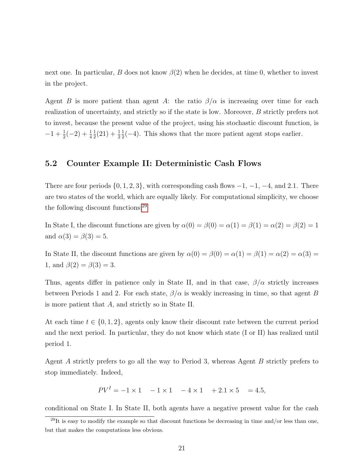next one. In particular, B does not know  $\beta(2)$  when he decides, at time 0, whether to invest in the project.

Agent B is more patient than agent A: the ratio  $\beta/\alpha$  is increasing over time for each realization of uncertainty, and strictly so if the state is low. Moreover, B strictly prefers not to invest, because the present value of the project, using his stochastic discount function, is  $-1+\frac{1}{2}(-2)+\frac{1}{4}$ 1  $rac{1}{2}(21) + \frac{1}{2}$ 1  $\frac{1}{2}(-4)$ . This shows that the more patient agent stops earlier.

#### 5.2 Counter Example II: Deterministic Cash Flows

There are four periods  $\{0, 1, 2, 3\}$ , with corresponding cash flows  $-1, -1, -4$ , and 2.1. There are two states of the world, which are equally likely. For computational simplicity, we choose the following discount functions:[29](#page-20-0)

In State I, the discount functions are given by  $\alpha(0) = \beta(0) = \alpha(1) = \beta(1) = \alpha(2) = \beta(2) = 1$ and  $\alpha(3) = \beta(3) = 5$ .

In State II, the discount functions are given by  $\alpha(0) = \beta(0) = \alpha(1) = \beta(1) = \alpha(2) = \alpha(3) =$ 1, and  $\beta(2) = \beta(3) = 3$ .

Thus, agents differ in patience only in State II, and in that case,  $\beta/\alpha$  strictly increases between Periods 1 and 2. For each state,  $\beta/\alpha$  is weakly increasing in time, so that agent B is more patient that A, and strictly so in State II.

At each time  $t \in \{0, 1, 2\}$ , agents only know their discount rate between the current period and the next period. In particular, they do not know which state (I or II) has realized until period 1.

Agent A strictly prefers to go all the way to Period 3, whereas Agent B strictly prefers to stop immediately. Indeed,

 $PV^{I} = -1 \times 1 - 1 \times 1 - 4 \times 1 + 2.1 \times 5 = 4.5,$ 

conditional on State I. In State II, both agents have a negative present value for the cash

<span id="page-20-0"></span> $^{29}$ It is easy to modify the example so that discount functions be decreasing in time and/or less than one, but that makes the computations less obvious.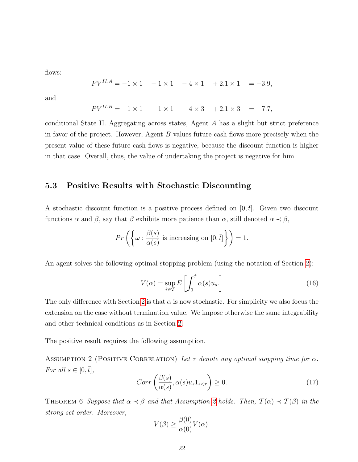flows:

$$
PV^{II,A} = -1 \times 1 \quad -1 \times 1 \quad -4 \times 1 \quad +2.1 \times 1 \quad = -3.9,
$$

and

$$
PV^{II,B} = -1 \times 1 \quad -1 \times 1 \quad -4 \times 3 \quad +2.1 \times 3 \quad = -7.7,
$$

conditional State II. Aggregating across states, Agent A has a slight but strict preference in favor of the project. However, Agent B values future cash flows more precisely when the present value of these future cash flows is negative, because the discount function is higher in that case. Overall, thus, the value of undertaking the project is negative for him.

#### 5.3 Positive Results with Stochastic Discounting

A stochastic discount function is a positive process defined on  $[0, t]$ . Given two discount functions  $\alpha$  and  $\beta$ , say that  $\beta$  exhibits more patience than  $\alpha$ , still denoted  $\alpha \prec \beta$ ,

$$
Pr\left(\left\{\omega : \frac{\beta(s)}{\alpha(s)} \text{ is increasing on } [0, \bar{t}] \right\}\right) = 1.
$$

An agent solves the following optimal stopping problem (using the notation of Section [2\)](#page-5-4):

$$
V(\alpha) = \sup_{\hat{\tau} \in \mathcal{T}} E\left[\int_0^{\hat{\tau}} \alpha(s) u_s.\right]
$$
 (16)

The only difference with Section [2](#page-5-4) is that  $\alpha$  is now stochastic. For simplicity we also focus the extension on the case without termination value. We impose otherwise the same integrability and other technical conditions as in Section [2.](#page-5-4)

<span id="page-21-0"></span>The positive result requires the following assumption.

ASSUMPTION 2 (POSITIVE CORRELATION) Let  $\tau$  denote any optimal stopping time for  $\alpha$ . For all  $s \in [0, \bar{t}],$ 

$$
Corr\left(\frac{\beta(s)}{\alpha(s)}, \alpha(s)u_s 1_{s < \tau}\right) \ge 0.
$$
\n(17)

<span id="page-21-1"></span>THEOREM 6 Suppose that  $\alpha \prec \beta$  and that Assumption [2](#page-21-0) holds. Then,  $\mathcal{T}(\alpha) \prec \mathcal{T}(\beta)$  in the strong set order. Moreover,

$$
V(\beta) \ge \frac{\beta(0)}{\alpha(0)} V(\alpha).
$$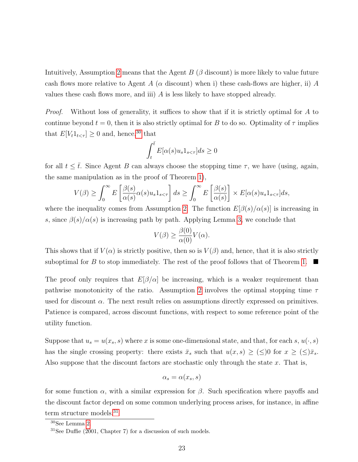Intuitively, Assumption [2](#page-21-0) means that the Agent  $B$  ( $\beta$  discount) is more likely to value future cash flows more relative to Agent A ( $\alpha$  discount) when i) these cash-flows are higher, ii) A values these cash flows more, and iii)  $\tilde{A}$  is less likely to have stopped already.

Proof. Without loss of generality, it suffices to show that if it is strictly optimal for A to continue beyond  $t = 0$ , then it is also strictly optimal for B to do so. Optimality of  $\tau$  implies that  $E[V_t 1_{t < \tau}] \geq 0$  and, hence,<sup>[30](#page-22-0)</sup> that

$$
\int_{t}^{\bar{t}} E[\alpha(s)u_s 1_{s<\tau}]ds \ge 0
$$

for all  $t \leq \overline{t}$ . Since Agent B can always choose the stopping time  $\tau$ , we have (using, again, the same manipulation as in the proof of Theorem [1\)](#page-6-3),

$$
V(\beta) \ge \int_0^\infty E\left[\frac{\beta(s)}{\alpha(s)}\alpha(s)u_s 1_{s<\tau}\right]ds \ge \int_0^\infty E\left[\frac{\beta(s)}{\alpha(s)}\right] \times E[\alpha(s)u_s 1_{s<\tau}]ds,
$$

where the inequality comes from Assumption [2.](#page-21-0) The function  $E[\beta(s)/\alpha(s)]$  is increasing in s, since  $\beta(s)/\alpha(s)$  is increasing path by path. Applying Lemma [3,](#page-8-1) we conclude that

$$
V(\beta) \ge \frac{\beta(0)}{\alpha(0)} V(\alpha).
$$

This shows that if  $V(\alpha)$  is strictly positive, then so is  $V(\beta)$  and, hence, that it is also strictly suboptimal for B to stop immediately. The rest of the proof follows that of Theorem [1.](#page-6-3)  $\blacksquare$ 

The proof only requires that  $E[\beta/\alpha]$  be increasing, which is a weaker requirement than pathwise monotonicity of the ratio. Assumption [2](#page-21-0) involves the optimal stopping time  $\tau$ used for discount  $\alpha$ . The next result relies on assumptions directly expressed on primitives. Patience is compared, across discount functions, with respect to some reference point of the utility function.

Suppose that  $u_s = u(x_s, s)$  where x is some one-dimensional state, and that, for each s,  $u(\cdot, s)$ has the single crossing property: there exists  $\bar{x}_s$  such that  $u(x, s) \geq (\leq)0$  for  $x \geq (\leq) \bar{x}_s$ . Also suppose that the discount factors are stochastic only through the state  $x$ . That is,

$$
\alpha_s = \alpha(x_s, s)
$$

for some function  $\alpha$ , with a similar expression for  $\beta$ . Such specification where payoffs and the discount factor depend on some common underlying process arises, for instance, in affine term structure models.<sup>[31](#page-22-1)</sup>

<span id="page-22-1"></span><span id="page-22-0"></span><sup>30</sup>See Lemma [2.](#page-8-0)

 $31$ See Duffie (2001, Chapter 7) for a discussion of such models.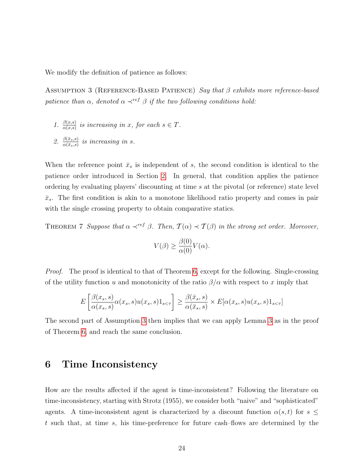<span id="page-23-1"></span>We modify the definition of patience as follows:

ASSUMPTION 3 (REFERENCE-BASED PATIENCE) Say that  $\beta$  exhibits more reference-based patience than  $\alpha$ , denoted  $\alpha \prec^{ref} \beta$  if the two following conditions hold:

- 1.  $\frac{\beta(x,s)}{\alpha(x,s)}$  is increasing in x, for each  $s \in T$ .
- 2.  $\frac{\beta(\bar{x}_s,s)}{\alpha(\bar{x}_s,s)}$  is increasing in s.

When the reference point  $\bar{x}_s$  is independent of s, the second condition is identical to the patience order introduced in Section [2.](#page-5-4) In general, that condition applies the patience ordering by evaluating players' discounting at time s at the pivotal (or reference) state level  $\bar{x}_s$ . The first condition is akin to a monotone likelihood ratio property and comes in pair with the single crossing property to obtain comparative statics.

THEOREM 7 Suppose that  $\alpha \prec^{ref} \beta$ . Then,  $\mathcal{T}(\alpha) \prec \mathcal{T}(\beta)$  in the strong set order. Moreover,

$$
V(\beta) \ge \frac{\beta(0)}{\alpha(0)} V(\alpha).
$$

Proof. The proof is identical to that of Theorem [6,](#page-21-1) except for the following. Single-crossing of the utility function u and monotonicity of the ratio  $\beta/\alpha$  with respect to x imply that

$$
E\left[\frac{\beta(x_s, s)}{\alpha(x_s, s)}\alpha(x_s, s)u(x_s, s)1_{s < \tau}\right] \ge \frac{\beta(\bar{x}_s, s)}{\alpha(\bar{x}_s, s)} \times E[\alpha(x_s, s)u(x_s, s)1_{s < \tau}]
$$

The second part of Assumption [3](#page-23-1) then implies that we can apply Lemma [3](#page-8-1) as in the proof of Theorem [6,](#page-21-1) and reach the same conclusion.

## <span id="page-23-0"></span>6 Time Inconsistency

How are the results affected if the agent is time-inconsistent? Following the literature on time-inconsistency, starting with Strotz (1955), we consider both "naive" and "sophisticated" agents. A time-inconsistent agent is characterized by a discount function  $\alpha(s,t)$  for  $s \leq$ t such that, at time s, his time-preference for future cash–flows are determined by the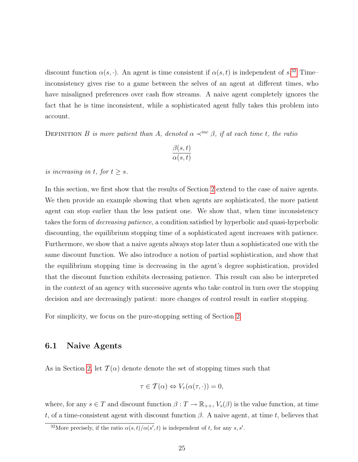discount function  $\alpha(s, \cdot)$ . An agent is time consistent if  $\alpha(s, t)$  is independent of s.<sup>[32](#page-24-0)</sup> Timeinconsistency gives rise to a game between the selves of an agent at different times, who have misaligned preferences over cash flow streams. A naive agent completely ignores the fact that he is time inconsistent, while a sophisticated agent fully takes this problem into account.

DEFINITION B is more patient than A, denoted  $\alpha \prec^{inc} \beta$ , if at each time t, the ratio

$$
\frac{\beta(s,t)}{\alpha(s,t)}
$$

is increasing in t, for  $t \geq s$ .

In this section, we first show that the results of Section [2](#page-5-4) extend to the case of naive agents. We then provide an example showing that when agents are sophisticated, the more patient agent can stop earlier than the less patient one. We show that, when time inconsistency takes the form of *decreasing patience*, a condition satisfied by hyperbolic and quasi-hyperbolic discounting, the equilibrium stopping time of a sophisticated agent increases with patience. Furthermore, we show that a naive agents always stop later than a sophisticated one with the same discount function. We also introduce a notion of partial sophistication, and show that the equilibrium stopping time is decreasing in the agent's degree sophistication, provided that the discount function exhibits decreasing patience. This result can also be interpreted in the context of an agency with successive agents who take control in turn over the stopping decision and are decreasingly patient: more changes of control result in earlier stopping.

For simplicity, we focus on the pure-stopping setting of Section [2.](#page-5-4)

#### 6.1 Naive Agents

As in Section [2,](#page-5-4) let  $\mathcal{T}(\alpha)$  denote denote the set of stopping times such that

$$
\tau \in \mathcal{T}(\alpha) \Leftrightarrow V_{\tau}(\alpha(\tau, \cdot)) = 0,
$$

where, for any  $s \in T$  and discount function  $\beta: T \to \mathbb{R}_{++}$ ,  $V_s(\beta)$  is the value function, at time t, of a time-consistent agent with discount function  $\beta$ . A naive agent, at time t, believes that

<span id="page-24-0"></span><sup>&</sup>lt;sup>32</sup>More precisely, if the ratio  $\alpha(s,t)/\alpha(s',t)$  is independent of t, for any s, s'.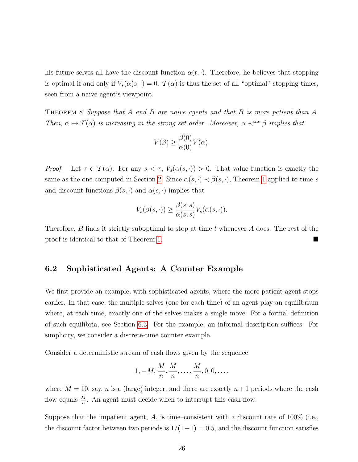his future selves all have the discount function  $\alpha(t, \cdot)$ . Therefore, he believes that stopping is optimal if and only if  $V_s(\alpha(s, \cdot) = 0$ .  $\mathcal{T}(\alpha)$  is thus the set of all "optimal" stopping times, seen from a naive agent's viewpoint.

THEOREM 8 Suppose that A and B are naive agents and that B is more patient than A. Then,  $\alpha \mapsto \mathcal{T}(\alpha)$  is increasing in the strong set order. Moreover,  $\alpha \prec^{inc} \beta$  implies that

$$
V(\beta) \ge \frac{\beta(0)}{\alpha(0)} V(\alpha).
$$

*Proof.* Let  $\tau \in \mathcal{T}(\alpha)$ . For any  $s < \tau$ ,  $V_s(\alpha(s, \cdot)) > 0$ . That value function is exactly the same as the one computed in Section [2.](#page-5-4) Since  $\alpha(s, \cdot) \prec \beta(s, \cdot)$ , Theorem [1](#page-6-3) applied to time s and discount functions  $\beta(s, \cdot)$  and  $\alpha(s, \cdot)$  implies that

$$
V_s(\beta(s,\cdot)) \ge \frac{\beta(s,s)}{\alpha(s,s)} V_s(\alpha(s,\cdot)).
$$

Therefore,  $B$  finds it strictly suboptimal to stop at time  $t$  whenever  $A$  does. The rest of the proof is identical to that of Theorem [1.](#page-6-3)

#### 6.2 Sophisticated Agents: A Counter Example

We first provide an example, with sophisticated agents, where the more patient agent stops earlier. In that case, the multiple selves (one for each time) of an agent play an equilibrium where, at each time, exactly one of the selves makes a single move. For a formal definition of such equilibria, see Section [6.3.](#page-26-0) For the example, an informal description suffices. For simplicity, we consider a discrete-time counter example.

Consider a deterministic stream of cash flows given by the sequence

$$
1, -M, \frac{M}{n}, \frac{M}{n}, \dots, \frac{M}{n}, 0, 0, \dots,
$$

where  $M = 10$ , say, n is a (large) integer, and there are exactly  $n+1$  periods where the cash flow equals  $\frac{M}{n}$ . An agent must decide when to interrupt this cash flow.

Suppose that the impatient agent,  $A$ , is time–consistent with a discount rate of 100% (i.e., the discount factor between two periods is  $1/(1+1) = 0.5$ , and the discount function satisfies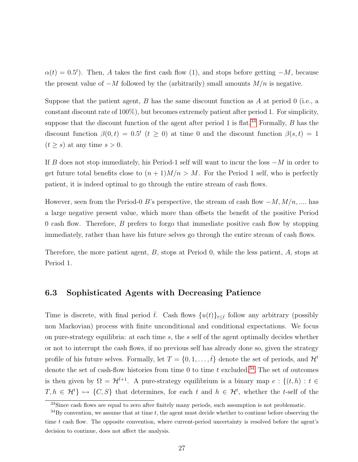$\alpha(t) = 0.5^t$ . Then, A takes the first cash flow (1), and stops before getting  $-M$ , because the present value of  $-M$  followed by the (arbitrarily) small amounts  $M/n$  is negative.

Suppose that the patient agent, B has the same discount function as A at period 0 (i.e., a constant discount rate of 100%), but becomes extremely patient after period 1. For simplicity, suppose that the discount function of the agent after period 1 is flat.<sup>[33](#page-26-1)</sup> Formally, B has the discount function  $\beta(0,t) = 0.5^t$  ( $t \ge 0$ ) at time 0 and the discount function  $\beta(s,t) = 1$  $(t \geq s)$  at any time  $s > 0$ .

If B does not stop immediately, his Period-1 self will want to incur the loss  $-M$  in order to get future total benefits close to  $(n+1)M/n > M$ . For the Period 1 self, who is perfectly patient, it is indeed optimal to go through the entire stream of cash flows.

However, seen from the Period-0 B's perspective, the stream of cash flow  $-M$ ,  $M/n$ , .... has a large negative present value, which more than offsets the benefit of the positive Period 0 cash flow. Therefore, B prefers to forgo that immediate positive cash flow by stopping immediately, rather than have his future selves go through the entire stream of cash flows.

Therefore, the more patient agent, B, stops at Period 0, while the less patient, A, stops at Period 1.

#### <span id="page-26-0"></span>6.3 Sophisticated Agents with Decreasing Patience

Time is discrete, with final period  $\bar{t}$ . Cash flows  $\{u(t)\}_{t\leq \bar{t}}$  follow any arbitrary (possibly non Markovian) process with finite unconditional and conditional expectations. We focus on pure-strategy equilibria: at each time  $s$ , the  $s$  self of the agent optimally decides whether or not to interrupt the cash flows, if no previous self has already done so, given the strategy profile of his future selves. Formally, let  $T = \{0, 1, \ldots, t\}$  denote the set of periods, and  $\mathcal{H}^t$ denote the set of cash-flow histories from time 0 to time  $t$  excluded.<sup>[34](#page-26-2)</sup> The set of outcomes is then given by  $\Omega = H^{\bar{t}+1}$ . A pure-strategy equilibrium is a binary map  $e : \{(t, h) : t \in$  $T, h \in \mathcal{H}^t$   $\mapsto \{C, S\}$  that determines, for each t and  $h \in \mathcal{H}^t$ , whether the t-self of the

<span id="page-26-2"></span><span id="page-26-1"></span><sup>&</sup>lt;sup>33</sup>Since cash flows are equal to zero after finitely many periods, such assumption is not problematic.

 $34\text{By convention, we assume that at time } t$ , the agent must decide whether to continue before observing the time  $t$  cash flow. The opposite convention, where current-period uncertainty is resolved before the agent's decision to continue, does not affect the analysis.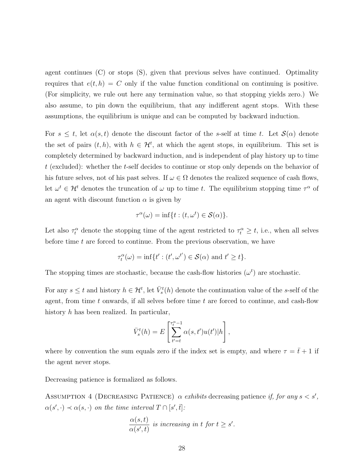agent continues (C) or stops (S), given that previous selves have continued. Optimality requires that  $e(t, h) = C$  only if the value function conditional on continuing is positive. (For simplicity, we rule out here any termination value, so that stopping yields zero.) We also assume, to pin down the equilibrium, that any indifferent agent stops. With these assumptions, the equilibrium is unique and can be computed by backward induction.

For  $s \leq t$ , let  $\alpha(s,t)$  denote the discount factor of the s-self at time t. Let  $\mathcal{S}(\alpha)$  denote the set of pairs  $(t, h)$ , with  $h \in \mathcal{H}^t$ , at which the agent stops, in equilibrium. This set is completely determined by backward induction, and is independent of play history up to time t (excluded): whether the t-self decides to continue or stop only depends on the behavior of his future selves, not of his past selves. If  $\omega \in \Omega$  denotes the realized sequence of cash flows, let  $\omega^t \in \mathcal{H}^t$  denotes the truncation of  $\omega$  up to time t. The equilibrium stopping time  $\tau^{\alpha}$  of an agent with discount function  $\alpha$  is given by

$$
\tau^{\alpha}(\omega) = \inf\{t : (t, \omega^t) \in \mathcal{S}(\alpha)\}.
$$

Let also  $\tau_t^{\alpha}$  denote the stopping time of the agent restricted to  $\tau_t^{\alpha} \geq t$ , i.e., when all selves before time  $t$  are forced to continue. From the previous observation, we have

$$
\tau_t^{\alpha}(\omega) = \inf\{t' : (t', \omega^{t'}) \in \mathcal{S}(\alpha) \text{ and } t' \ge t\}.
$$

The stopping times are stochastic, because the cash-flow histories  $(\omega^t)$  are stochastic.

For any  $s \leq t$  and history  $h \in \mathcal{H}^t$ , let  $\bar{V}^t_s(h)$  denote the continuation value of the s-self of the agent, from time  $t$  onwards, if all selves before time  $t$  are forced to continue, and cash-flow history h has been realized. In particular,

$$
\bar{V}_s^t(h) = E\left[\sum_{t'=t}^{\tau_t^{\alpha}-1} \alpha(s, t') u(t') | h\right],
$$

where by convention the sum equals zero if the index set is empty, and where  $\tau = \bar{t} + 1$  if the agent never stops.

Decreasing patience is formalized as follows.

ASSUMPTION 4 (DECREASING PATIENCE)  $\alpha$  exhibits decreasing patience if, for any  $s < s'$ ,  $\alpha(s',\cdot) \prec \alpha(s,\cdot)$  on the time interval  $T \cap [s',\overline{t}]$ :

$$
\frac{\alpha(s,t)}{\alpha(s',t)}
$$
 is increasing in t for  $t \ge s'$ .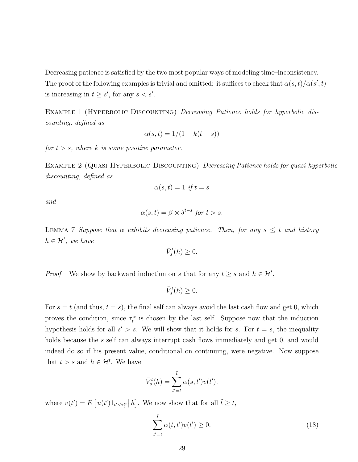Decreasing patience is satisfied by the two most popular ways of modeling time–inconsistency. The proof of the following examples is trivial and omitted: it suffices to check that  $\alpha(s,t)/\alpha(s',t)$ is increasing in  $t \geq s'$ , for any  $s < s'$ .

EXAMPLE 1 (HYPERBOLIC DISCOUNTING) Decreasing Patience holds for hyperbolic discounting, defined as

$$
\alpha(s,t) = 1/(1 + k(t - s))
$$

for  $t > s$ , where k is some positive parameter.

EXAMPLE 2 (QUASI-HYPERBOLIC DISCOUNTING) Decreasing Patience holds for quasi-hyperbolic discounting, defined as

$$
\alpha(s,t) = 1 \text{ if } t = s
$$

and

$$
\alpha(s,t) = \beta \times \delta^{t-s} \text{ for } t > s.
$$

<span id="page-28-1"></span>LEMMA 7 Suppose that  $\alpha$  exhibits decreasing patience. Then, for any  $s \leq t$  and history  $h \in \mathcal{H}^t$ , we have

$$
\bar{V}_s^t(h) \ge 0.
$$

*Proof.* We show by backward induction on s that for any  $t \geq s$  and  $h \in \mathcal{H}^t$ ,

$$
\bar{V}_s^t(h) \ge 0.
$$

For  $s = \bar{t}$  (and thus,  $t = s$ ), the final self can always avoid the last cash flow and get 0, which proves the condition, since  $\tau_{\bar{t}}^{\alpha}$  is chosen by the last self. Suppose now that the induction hypothesis holds for all  $s' > s$ . We will show that it holds for s. For  $t = s$ , the inequality holds because the s self can always interrupt cash flows immediately and get 0, and would indeed do so if his present value, conditional on continuing, were negative. Now suppose that  $t > s$  and  $h \in \mathcal{H}^t$ . We have

$$
\bar{V}_s^t(h) = \sum_{t'=t}^{\bar{t}} \alpha(s, t')v(t'),
$$

where  $v(t') = E[u(t')]1_{t' < \tau_t^{\alpha}} |h]$ . We now show that for all  $\tilde{t} \geq t$ ,

<span id="page-28-0"></span>
$$
\sum_{t'=t}^{\bar{t}} \alpha(t, t')v(t') \ge 0.
$$
\n(18)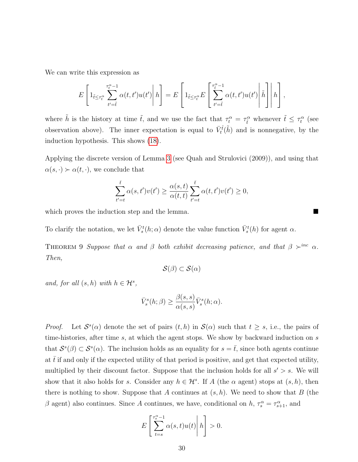We can write this expression as

$$
E\left[1_{\tilde{t}\leq\tau_t^{\alpha}}\sum_{t'=t}^{\tau_t^{\alpha}-1}\alpha(t,t')u(t')\middle|h\right]=E\left[1_{\tilde{t}\leq\tau_t^{\alpha}}E\left[\sum_{t'=t}^{\tau_t^{\alpha}-1}\alpha(t,t')u(t')\middle|\tilde{h}\right]\middle|h\right],
$$

where  $\tilde{h}$  is the history at time  $\tilde{t}$ , and we use the fact that  $\tau_t^{\alpha} = \tau_t^{\alpha}$  whenever  $\tilde{t} \leq \tau_t^{\alpha}$  (see observation above). The inner expectation is equal to  $\bar{V}_t^{\tilde{t}}(\tilde{h})$  and is nonnegative, by the induction hypothesis. This shows [\(18\)](#page-28-0).

Applying the discrete version of Lemma [3](#page-8-1) (see Quah and Strulovici (2009)), and using that  $\alpha(s, \cdot) \succ \alpha(t, \cdot)$ , we conclude that

$$
\sum_{t'=t}^{\bar{t}} \alpha(s, t')v(t') \ge \frac{\alpha(s, t)}{\alpha(t, t)} \sum_{t'=t}^{\bar{t}} \alpha(t, t')v(t') \ge 0,
$$

which proves the induction step and the lemma.

<span id="page-29-0"></span>To clarify the notation, we let  $\bar{V}_s^t(h; \alpha)$  denote the value function  $\bar{V}_s^t(h)$  for agent  $\alpha$ .

THEOREM 9 Suppose that  $\alpha$  and  $\beta$  both exhibit decreasing patience, and that  $\beta \succ^{inc} \alpha$ . Then,

$$
\mathcal{S}(\beta) \subset \mathcal{S}(\alpha)
$$

and, for all  $(s, h)$  with  $h \in \mathcal{H}^s$ ,

$$
\bar{V}_s^s(h; \beta) \ge \frac{\beta(s, s)}{\alpha(s, s)} \bar{V}_s^s(h; \alpha).
$$

*Proof.* Let  $S^s(\alpha)$  denote the set of pairs  $(t, h)$  in  $S(\alpha)$  such that  $t \geq s$ , i.e., the pairs of time-histories, after time  $s$ , at which the agent stops. We show by backward induction on  $s$ that  $\mathcal{S}^s(\beta) \subset \mathcal{S}^s(\alpha)$ . The inclusion holds as an equality for  $s = \overline{t}$ , since both agents continue at  $\bar{t}$  if and only if the expected utility of that period is positive, and get that expected utility, multiplied by their discount factor. Suppose that the inclusion holds for all  $s' > s$ . We will show that it also holds for s. Consider any  $h \in \mathcal{H}^s$ . If A (the  $\alpha$  agent) stops at  $(s, h)$ , then there is nothing to show. Suppose that A continues at  $(s, h)$ . We need to show that B (the β agent) also continues. Since A continues, we have, conditional on  $h, \tau_s^{\alpha} = \tau_{s+1}^{\alpha}$ , and

$$
E\left[\sum_{t=s}^{\tau_s^{\alpha}-1} \alpha(s,t)u(t)\middle|\,h\right] > 0.
$$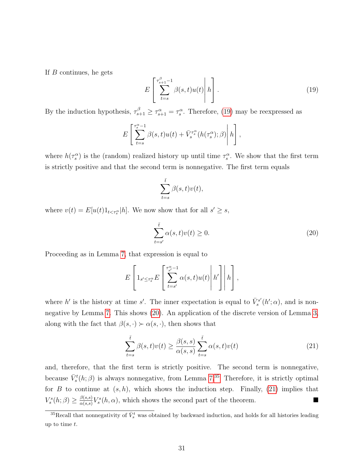If B continues, he gets

<span id="page-30-0"></span>
$$
E\left[\sum_{t=s}^{\tau_{s+1}^{\beta}-1} \beta(s,t)u(t)\middle| h\right].
$$
\n(19)

By the induction hypothesis,  $\tau_{s+1}^{\beta} \geq \tau_{s+1}^{\alpha} = \tau_s^{\alpha}$ . Therefore, [\(19\)](#page-30-0) may be reexpressed as

$$
E\left[\sum_{t=s}^{\tau_s^{\alpha}-1}\beta(s,t)u(t)+\bar{V}_s^{\tau_s^{\alpha}}(h(\tau_s^{\alpha});\beta)\right]h\right],
$$

where  $h(\tau_s^{\alpha})$  is the (random) realized history up until time  $\tau_s^{\alpha}$ . We show that the first term is strictly positive and that the second term is nonnegative. The first term equals

<span id="page-30-1"></span>
$$
\sum_{t=s}^{\bar{t}} \beta(s,t) v(t),
$$

where  $v(t) = E[u(t)1_{t < \tau_s^{\alpha}}|h]$ . We now show that for all  $s' \geq s$ ,

$$
\sum_{t=s'}^{\bar{t}} \alpha(s, t)v(t) \ge 0.
$$
\n(20)

Proceeding as in Lemma [7,](#page-28-1) that expression is equal to

$$
E\left[1_{s'\leq \tau_s^{\alpha}} E\left[\sum_{t=s'}^{\tau_{s'}^{\alpha}-1} \alpha(s,t)u(t)\middle|h'\right]\middle|h\right],
$$

where h' is the history at time s'. The inner expectation is equal to  $\bar{V}_s^{s'}$  $s^{rs'}(h'; \alpha)$ , and is nonnegative by Lemma [7.](#page-28-1) This shows [\(20\)](#page-30-1). An application of the discrete version of Lemma [3,](#page-8-1) along with the fact that  $\beta(s, \cdot) \succ \alpha(s, \cdot)$ , then shows that

<span id="page-30-3"></span>
$$
\sum_{t=s}^{\bar{t}} \beta(s,t)v(t) \ge \frac{\beta(s,s)}{\alpha(s,s)} \sum_{t=s}^{\bar{t}} \alpha(s,t)v(t)
$$
\n(21)

and, therefore, that the first term is strictly positive. The second term is nonnegative, because  $\bar{V}_s^t(h;\beta)$  is always nonnegative, from Lemma [7.](#page-28-1)<sup>[35](#page-30-2)</sup> Therefore, it is strictly optimal for B to continue at  $(s, h)$ , which shows the induction step. Finally, [\(21\)](#page-30-3) implies that  $V_s^s(h; \beta) \geq \frac{\beta(s,s)}{\alpha(s,s)}$  $\frac{\beta(s,s)}{\alpha(s,s)} V_s^s(h,\alpha)$ , which shows the second part of the theorem.

<span id="page-30-2"></span><sup>&</sup>lt;sup>35</sup>Recall that nonnegativity of  $\bar{V}_s^t$  was obtained by backward induction, and holds for all histories leading up to time  $t$ .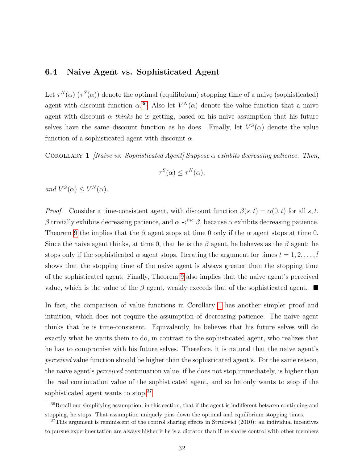#### 6.4 Naive Agent vs. Sophisticated Agent

Let  $\tau^{N}(\alpha)$  ( $\tau^{S}(\alpha)$ ) denote the optimal (equilibrium) stopping time of a naive (sophisticated) agent with discount function  $\alpha^{36}$  $\alpha^{36}$  $\alpha^{36}$  Also let  $V^N(\alpha)$  denote the value function that a naive agent with discount  $\alpha$  thinks he is getting, based on his naive assumption that his future selves have the same discount function as he does. Finally, let  $V^S(\alpha)$  denote the value function of a sophisticated agent with discount  $\alpha$ .

<span id="page-31-1"></span>COROLLARY 1 *[Naive vs. Sophisticated Agent] Suppose*  $\alpha$  *exhibits decreasing patience. Then,* 

$$
\tau^S(\alpha) \le \tau^N(\alpha),
$$

and  $V^S(\alpha) \leq V^N(\alpha)$ .

*Proof.* Consider a time-consistent agent, with discount function  $\beta(s,t) = \alpha(0,t)$  for all s, t. β trivially exhibits decreasing patience, and  $\alpha \prec^{inc} \beta$ , because  $\alpha$  exhibits decreasing patience. Theorem [9](#page-29-0) the implies that the  $\beta$  agent stops at time 0 only if the  $\alpha$  agent stops at time 0. Since the naive agent thinks, at time 0, that he is the  $\beta$  agent, he behaves as the  $\beta$  agent: he stops only if the sophisticated  $\alpha$  agent stops. Iterating the argument for times  $t = 1, 2, \ldots, \bar{t}$ shows that the stopping time of the naive agent is always greater than the stopping time of the sophisticated agent. Finally, Theorem [9](#page-29-0) also implies that the naive agent's perceived value, which is the value of the  $\beta$  agent, weakly exceeds that of the sophisticated agent.  $\blacksquare$ 

In fact, the comparison of value functions in Corollary [1](#page-31-1) has another simpler proof and intuition, which does not require the assumption of decreasing patience. The naive agent thinks that he is time-consistent. Equivalently, he believes that his future selves will do exactly what he wants them to do, in contrast to the sophisticated agent, who realizes that he has to compromise with his future selves. Therefore, it is natural that the naive agent's perceived value function should be higher than the sophisticated agent's. For the same reason, the naive agent's *perceived* continuation value, if he does not stop immediately, is higher than the real continuation value of the sophisticated agent, and so he only wants to stop if the sophisticated agent wants to stop.<sup>[37](#page-31-2)</sup>

<span id="page-31-0"></span> $36$ Recall our simplifying assumption, in this section, that if the agent is indifferent between continuing and stopping, he stops. That assumption uniquely pins down the optimal and equilibrium stopping times.

<span id="page-31-2"></span><sup>&</sup>lt;sup>37</sup>This argument is reminiscent of the control sharing effects in Strulovici (2010): an individual incentives to pursue experimentation are always higher if he is a dictator than if he shares control with other members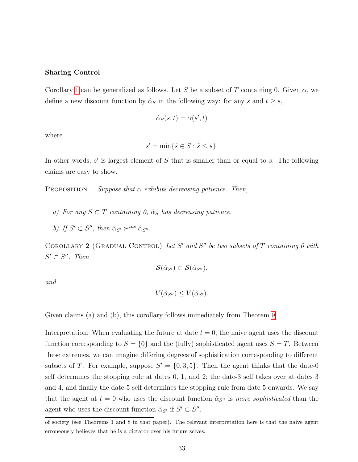#### Sharing Control

Corollary [1](#page-31-1) can be generalized as follows. Let S be a subset of T containing 0. Given  $\alpha$ , we define a new discount function by  $\hat{\alpha}_S$  in the following way: for any s and  $t \geq s$ ,

$$
\hat{\alpha}_S(s,t) = \alpha(s',t)
$$

where

$$
s' = \min\{\tilde{s} \in S : \tilde{s} \le s\}.
$$

In other words,  $s'$  is largest element of  $S$  that is smaller than or equal to  $s$ . The following claims are easy to show.

PROPOSITION 1 Suppose that  $\alpha$  exhibits decreasing patience. Then,

- a) For any  $S \subset T$  containing 0,  $\hat{\alpha}_S$  has decreasing patience.
- b) If  $S' \subset S''$ , then  $\hat{\alpha}_{S'} \succ^{inc} \hat{\alpha}_{S''}$ .

<span id="page-32-0"></span>COROLLARY 2 (GRADUAL CONTROL) Let S' and S" be two subsets of T containing 0 with  $S' \subset S''$ . Then

$$
\mathcal{S}(\hat{\alpha}_{S'}) \subset \mathcal{S}(\hat{\alpha}_{S''}),
$$

and

$$
V(\hat{\alpha}_{S''}) \le V(\hat{\alpha}_{S'}).
$$

Given claims (a) and (b), this corollary follows immediately from Theorem [9.](#page-29-0)

Interpretation: When evaluating the future at date  $t = 0$ , the naive agent uses the discount function corresponding to  $S = \{0\}$  and the (fully) sophisticated agent uses  $S = T$ . Between these extremes, we can imagine differing degrees of sophistication corresponding to different subsets of T. For example, suppose  $S' = \{0, 3, 5\}$ . Then the agent thinks that the date-0 self determines the stopping rule at dates 0, 1, and 2; the date-3 self takes over at dates 3 and 4, and finally the date-5 self determines the stopping rule from date 5 onwards. We say that the agent at  $t = 0$  who uses the discount function  $\hat{\alpha}_{S''}$  is more sophisticated than the agent who uses the discount function  $\hat{\alpha}_{S'}$  if  $S' \subset S''$ .

of society (see Theorems 1 and 8 in that paper). The relevant interpretation here is that the naive agent erroneously believes that he is a dictator over his future selves.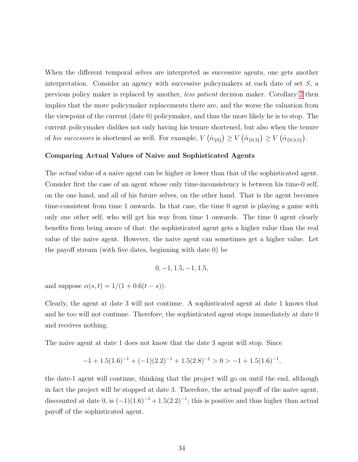When the different temporal selves are interpreted as successive agents, one gets another interpretation. Consider an agency with successive policymakers at each date of set  $S$ , a previous policy maker is replaced by another, less patient decision maker. Corollary [2](#page-32-0) then implies that the more policymaker replacements there are, and the worse the valuation from the viewpoint of the current (date 0) policymaker, and thus the more likely he is to stop. The current policymaker dislikes not only having his tenure shortened, but also when the tenure of his successors is shortened as well. For example,  $V(\hat{\alpha}_{\{0\}}) \geq V(\hat{\alpha}_{\{0,3\}}) \geq V(\hat{\alpha}_{\{0,3,5\}}).$ 

#### Comparing Actual Values of Naive and Sophisticated Agents

The *actual* value of a naive agent can be higher or lower than that of the sophisticated agent. Consider first the case of an agent whose only time-inconsistency is between his time-0 self, on the one hand, and all of his future selves, on the other hand. That is the agent becomes time-consistent from time 1 onwards. In that case, the time 0 agent is playing a game with only one other self, who will get his way from time 1 onwards. The time 0 agent clearly benefits from being aware of that: the sophisticated agent gets a higher value than the real value of the naive agent. However, the naive agent can sometimes get a higher value. Let the payoff stream (with five dates, beginning with date 0) be

$$
0, -1, 1.5, -1, 1.5,
$$

and suppose  $\alpha(s, t) = 1/(1 + 0.6(t - s)).$ 

Clearly, the agent at date 3 will not continue. A sophisticated agent at date 1 knows that and he too will not continue. Therefore, the sophisticated agent stops immediately at date 0 and receives nothing.

The naive agent at date 1 does not know that the date 3 agent will stop. Since

$$
-1 + 1.5(1.6)^{-1} + (-1)(2.2)^{-1} + 1.5(2.8)^{-1} > 0 > -1 + 1.5(1.6)^{-1},
$$

the date-1 agent will continue, thinking that the project will go on until the end, although in fact the project will be stopped at date 3. Therefore, the actual payoff of the naive agent, discounted at date 0, is  $(-1)(1.6)^{-1} + 1.5(2.2)^{-1}$ ; this is positive and thus higher than actual payoff of the sophisticated agent.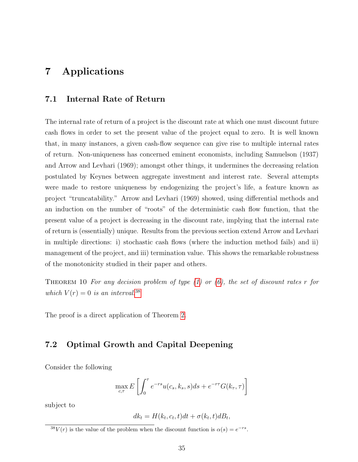# 7 Applications

#### 7.1 Internal Rate of Return

The internal rate of return of a project is the discount rate at which one must discount future cash flows in order to set the present value of the project equal to zero. It is well known that, in many instances, a given cash-flow sequence can give rise to multiple internal rates of return. Non-uniqueness has concerned eminent economists, including Samuelson (1937) and Arrow and Levhari (1969); amongst other things, it undermines the decreasing relation postulated by Keynes between aggregate investment and interest rate. Several attempts were made to restore uniqueness by endogenizing the project's life, a feature known as project "truncatability." Arrow and Levhari (1969) showed, using differential methods and an induction on the number of "roots" of the deterministic cash flow function, that the present value of a project is decreasing in the discount rate, implying that the internal rate of return is (essentially) unique. Results from the previous section extend Arrow and Levhari in multiple directions: i) stochastic cash flows (where the induction method fails) and ii) management of the project, and iii) termination value. This shows the remarkable robustness of the monotonicity studied in their paper and others.

THEOREM 10 For any decision problem of type  $(1)$  or  $(6)$ , the set of discount rates r for which  $V(r) = 0$  is an interval.<sup>[38](#page-34-0)</sup>

The proof is a direct application of Theorem [2.](#page-10-4)

### 7.2 Optimal Growth and Capital Deepening

Consider the following

$$
\max_{c,\tau} E\left[\int_0^{\tau} e^{-rs} u(c_s, k_s, s) ds + e^{-r\tau} G(k_{\tau}, \tau)\right]
$$

subject to

$$
dk_t = H(k_t, c_t, t)dt + \sigma(k_t, t)dB_t,
$$

<span id="page-34-0"></span><sup>&</sup>lt;sup>38</sup>V(r) is the value of the problem when the discount function is  $\alpha(s) = e^{-rs}$ .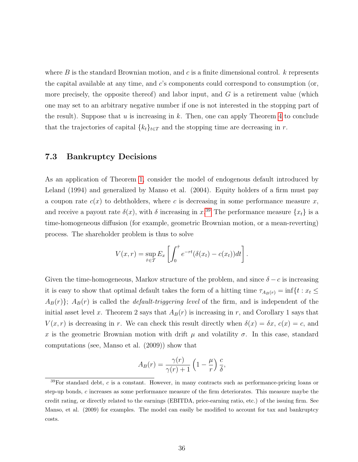where B is the standard Brownian motion, and c is a finite dimensional control.  $k$  represents the capital available at any time, and c's components could correspond to consumption (or, more precisely, the opposite thereof) and labor input, and  $G$  is a retirement value (which one may set to an arbitrary negative number if one is not interested in the stopping part of the result). Suppose that u is increasing in k. Then, one can apply Theorem [4](#page-14-1) to conclude that the trajectories of capital  ${k_t}_{t\in T}$  and the stopping time are decreasing in r.

#### <span id="page-35-0"></span>7.3 Bankruptcy Decisions

As an application of Theorem [1,](#page-6-3) consider the model of endogenous default introduced by Leland (1994) and generalized by Manso et al. (2004). Equity holders of a firm must pay a coupon rate  $c(x)$  to debtholders, where c is decreasing in some performance measure x, and receive a payout rate  $\delta(x)$ , with  $\delta$  increasing in  $x^{39}$  $x^{39}$  $x^{39}$ . The performance measure  $\{x_t\}$  is a time-homogeneous diffusion (for example, geometric Brownian motion, or a mean-reverting) process. The shareholder problem is thus to solve

$$
V(x,r) = \sup_{\hat{\tau} \in \mathcal{T}} E_x \left[ \int_0^{\hat{\tau}} e^{-rt} (\delta(x_t) - c(x_t)) dt \right].
$$

Given the time-homogeneous, Markov structure of the problem, and since  $\delta - c$  is increasing it is easy to show that optimal default takes the form of a hitting time  $\tau_{A_B(r)} = \inf\{t : x_t \leq$  $A_B(r)$ ;  $A_B(r)$  is called the *default-triggering level* of the firm, and is independent of the initial asset level x. Theorem 2 says that  $A_B(r)$  is increasing in r, and Corollary 1 says that  $V(x, r)$  is decreasing in r. We can check this result directly when  $\delta(x) = \delta x$ ,  $c(x) = c$ , and x is the geometric Brownian motion with drift  $\mu$  and volatility  $\sigma$ . In this case, standard computations (see, Manso et al. (2009)) show that

$$
A_B(r) = \frac{\gamma(r)}{\gamma(r) + 1} \left( 1 - \frac{\mu}{r} \right) \frac{c}{\delta},
$$

<span id="page-35-1"></span> $39$ For standard debt, c is a constant. However, in many contracts such as performance-pricing loans or step-up bonds, c increases as some performance measure of the firm deteriorates. This measure maybe the credit rating, or directly related to the earnings (EBITDA, price-earning ratio, etc.) of the issuing firm. See Manso, et al. (2009) for examples. The model can easily be modified to account for tax and bankruptcy costs.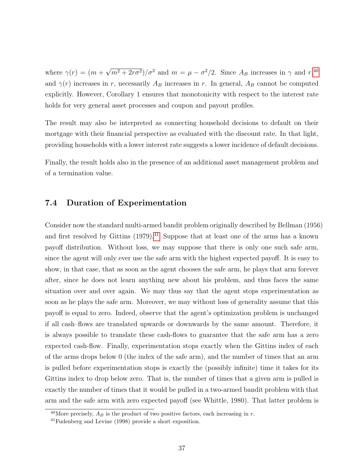where  $\gamma(r) = (m +$ √  $\sqrt{m^2 + 2r\sigma^2}/\sigma^2$  and  $m = \mu - \sigma^2/2$ . Since  $A_B$  increases in  $\gamma$  and  $r^{40}$  $r^{40}$  $r^{40}$ , and  $\gamma(r)$  increases in r, necessarily  $A_B$  increases in r. In general,  $A_B$  cannot be computed explicitly. However, Corollary 1 ensures that monotonicity with respect to the interest rate holds for very general asset processes and coupon and payout profiles.

The result may also be interpreted as connecting household decisions to default on their mortgage with their financial perspective as evaluated with the discount rate. In that light, providing households with a lower interest rate suggests a lower incidence of default decisions.

Finally, the result holds also in the presence of an additional asset management problem and of a termination value.

#### <span id="page-36-0"></span>7.4 Duration of Experimentation

Consider now the standard multi-armed bandit problem originally described by Bellman (1956) and first resolved by Gittins  $(1979)$ .<sup>[41](#page-36-2)</sup> Suppose that at least one of the arms has a known payoff distribution. Without loss, we may suppose that there is only one such safe arm, since the agent will only ever use the safe arm with the highest expected payoff. It is easy to show, in that case, that as soon as the agent chooses the safe arm, he plays that arm forever after, since he does not learn anything new about his problem, and thus faces the same situation over and over again. We may thus say that the agent stops experimentation as soon as he plays the safe arm. Moreover, we may without loss of generality assume that this payoff is equal to zero. Indeed, observe that the agent's optimization problem is unchanged if all cash–flows are translated upwards or downwards by the same amount. Therefore, it is always possible to translate these cash-flows to guarantee that the safe arm has a zero expected cash-flow. Finally, experimentation stops exactly when the Gittins index of each of the arms drops below 0 (the index of the safe arm), and the number of times that an arm is pulled before experimentation stops is exactly the (possibly infinite) time it takes for its Gittins index to drop below zero. That is, the number of times that a given arm is pulled is exactly the number of times that it would be pulled in a two-armed bandit problem with that arm and the safe arm with zero expected payoff (see Whittle, 1980). That latter problem is

<span id="page-36-2"></span><span id="page-36-1"></span><sup>&</sup>lt;sup>40</sup>More precisely,  $A_B$  is the product of two positive factors, each increasing in r.

<sup>41</sup>Fudenberg and Levine (1998) provide a short exposition.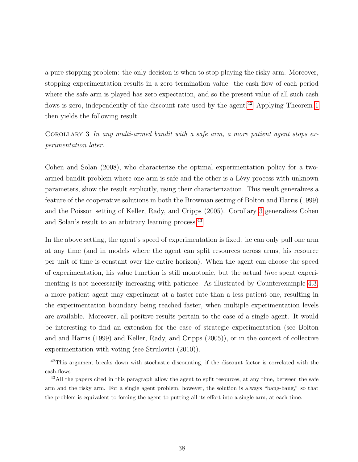a pure stopping problem: the only decision is when to stop playing the risky arm. Moreover, stopping experimentation results in a zero termination value: the cash flow of each period where the safe arm is played has zero expectation, and so the present value of all such cash flows is zero, independently of the discount rate used by the agent.<sup>[42](#page-37-0)</sup> Applying Theorem [1](#page-6-3) then yields the following result.

<span id="page-37-1"></span>COROLLARY 3 In any multi-armed bandit with a safe arm, a more patient agent stops  $ex$ perimentation later.

Cohen and Solan (2008), who characterize the optimal experimentation policy for a twoarmed bandit problem where one arm is safe and the other is a Lévy process with unknown parameters, show the result explicitly, using their characterization. This result generalizes a feature of the cooperative solutions in both the Brownian setting of Bolton and Harris (1999) and the Poisson setting of Keller, Rady, and Cripps (2005). Corollary [3](#page-37-1) generalizes Cohen and Solan's result to an arbitrary learning process.[43](#page-37-2)

In the above setting, the agent's speed of experimentation is fixed: he can only pull one arm at any time (and in models where the agent can split resources across arms, his resource per unit of time is constant over the entire horizon). When the agent can choose the speed of experimentation, his value function is still monotonic, but the actual time spent experimenting is not necessarily increasing with patience. As illustrated by Counterexample [4.3,](#page-17-0) a more patient agent may experiment at a faster rate than a less patient one, resulting in the experimentation boundary being reached faster, when multiple experimentation levels are available. Moreover, all positive results pertain to the case of a single agent. It would be interesting to find an extension for the case of strategic experimentation (see Bolton and and Harris (1999) and Keller, Rady, and Cripps (2005)), or in the context of collective experimentation with voting (see Strulovici (2010)).

<span id="page-37-0"></span> $42$ This argument breaks down with stochastic discounting, if the discount factor is correlated with the cash-flows.

<span id="page-37-2"></span><sup>&</sup>lt;sup>43</sup>All the papers cited in this paragraph allow the agent to split resources, at any time, between the safe arm and the risky arm. For a single agent problem, however, the solution is always "bang-bang," so that the problem is equivalent to forcing the agent to putting all its effort into a single arm, at each time.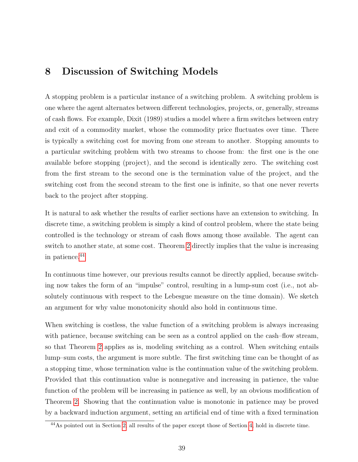### 8 Discussion of Switching Models

A stopping problem is a particular instance of a switching problem. A switching problem is one where the agent alternates between different technologies, projects, or, generally, streams of cash flows. For example, Dixit (1989) studies a model where a firm switches between entry and exit of a commodity market, whose the commodity price fluctuates over time. There is typically a switching cost for moving from one stream to another. Stopping amounts to a particular switching problem with two streams to choose from: the first one is the one available before stopping (project), and the second is identically zero. The switching cost from the first stream to the second one is the termination value of the project, and the switching cost from the second stream to the first one is infinite, so that one never reverts back to the project after stopping.

It is natural to ask whether the results of earlier sections have an extension to switching. In discrete time, a switching problem is simply a kind of control problem, where the state being controlled is the technology or stream of cash flows among those available. The agent can switch to another state, at some cost. Theorem [2](#page-10-4) directly implies that the value is increasing in patience.<sup>[44](#page-38-0)</sup>

In continuous time however, our previous results cannot be directly applied, because switching now takes the form of an "impulse" control, resulting in a lump-sum cost (i.e., not absolutely continuous with respect to the Lebesgue measure on the time domain). We sketch an argument for why value monotonicity should also hold in continuous time.

When switching is costless, the value function of a switching problem is always increasing with patience, because switching can be seen as a control applied on the cash–flow stream, so that Theorem [2](#page-10-4) applies as is, modeling switching as a control. When switching entails lump–sum costs, the argument is more subtle. The first switching time can be thought of as a stopping time, whose termination value is the continuation value of the switching problem. Provided that this continuation value is nonnegative and increasing in patience, the value function of the problem will be increasing in patience as well, by an obvious modification of Theorem [2.](#page-10-4) Showing that the continuation value is monotonic in patience may be proved by a backward induction argument, setting an artificial end of time with a fixed termination

<span id="page-38-0"></span><sup>44</sup>As pointed out in Section [2,](#page-5-4) all results of the paper except those of Section [4,](#page-12-0) hold in discrete time.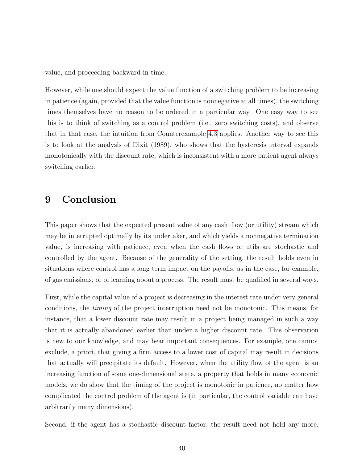value, and proceeding backward in time.

However, while one should expect the value function of a switching problem to be increasing in patience (again, provided that the value function is nonnegative at all times), the switching times themselves have no reason to be ordered in a particular way. One easy way to see this is to think of switching as a control problem (i.e., zero switching costs), and observe that in that case, the intuition from Counterexample [4.3](#page-17-0) applies. Another way to see this is to look at the analysis of Dixit (1989), who shows that the hysteresis interval expands monotonically with the discount rate, which is inconsistent with a more patient agent always switching earlier.

### 9 Conclusion

This paper shows that the expected present value of any cash–flow (or utility) stream which may be interrupted optimally by its undertaker, and which yields a nonnegative termination value, is increasing with patience, even when the cash–flows or utils are stochastic and controlled by the agent. Because of the generality of the setting, the result holds even in situations where control has a long term impact on the payoffs, as in the case, for example, of gas emissions, or of learning about a process. The result must be qualified in several ways.

First, while the capital value of a project is decreasing in the interest rate under very general conditions, the timing of the project interruption need not be monotonic. This means, for instance, that a lower discount rate may result in a project being managed in such a way that it is actually abandoned earlier than under a higher discount rate. This observation is new to our knowledge, and may bear important consequences. For example, one cannot exclude, a priori, that giving a firm access to a lower cost of capital may result in decisions that actually will precipitate its default. However, when the utility flow of the agent is an increasing function of some one-dimensional state, a property that holds in many economic models, we do show that the timing of the project is monotonic in patience, no matter how complicated the control problem of the agent is (in particular, the control variable can have arbitrarily many dimensions).

Second, if the agent has a stochastic discount factor, the result need not hold any more.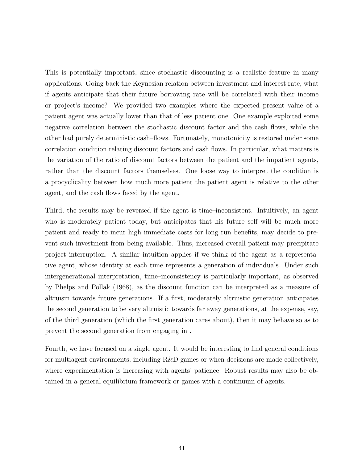This is potentially important, since stochastic discounting is a realistic feature in many applications. Going back the Keynesian relation between investment and interest rate, what if agents anticipate that their future borrowing rate will be correlated with their income or project's income? We provided two examples where the expected present value of a patient agent was actually lower than that of less patient one. One example exploited some negative correlation between the stochastic discount factor and the cash flows, while the other had purely deterministic cash–flows. Fortunately, monotonicity is restored under some correlation condition relating discount factors and cash flows. In particular, what matters is the variation of the ratio of discount factors between the patient and the impatient agents, rather than the discount factors themselves. One loose way to interpret the condition is a procyclicality between how much more patient the patient agent is relative to the other agent, and the cash flows faced by the agent.

Third, the results may be reversed if the agent is time–inconsistent. Intuitively, an agent who is moderately patient today, but anticipates that his future self will be much more patient and ready to incur high immediate costs for long run benefits, may decide to prevent such investment from being available. Thus, increased overall patient may precipitate project interruption. A similar intuition applies if we think of the agent as a representative agent, whose identity at each time represents a generation of individuals. Under such intergenerational interpretation, time–inconsistency is particularly important, as observed by Phelps and Pollak (1968), as the discount function can be interpreted as a measure of altruism towards future generations. If a first, moderately altruistic generation anticipates the second generation to be very altruistic towards far away generations, at the expense, say, of the third generation (which the first generation cares about), then it may behave so as to prevent the second generation from engaging in .

Fourth, we have focused on a single agent. It would be interesting to find general conditions for multiagent environments, including R&D games or when decisions are made collectively, where experimentation is increasing with agents' patience. Robust results may also be obtained in a general equilibrium framework or games with a continuum of agents.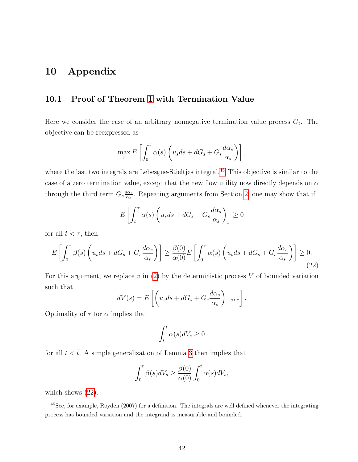# 10 Appendix

#### 10.1 Proof of Theorem [1](#page-6-3) with Termination Value

Here we consider the case of an arbitrary nonnegative termination value process  $G_t$ . The objective can be reexpressed as

$$
\max_{\hat{\tau}} E\left[\int_0^{\hat{\tau}} \alpha(s) \left(u_s ds + dG_s + G_s \frac{d\alpha_s}{\alpha_s}\right)\right],
$$

where the last two integrals are Lebesgue-Stieltjes integral.<sup>[45](#page-41-0)</sup> This objective is similar to the case of a zero termination value, except that the new flow utility now directly depends on  $\alpha$ through the third term  $G_s \frac{d\alpha_s}{d\alpha_s}$  $\frac{a_{\alpha_s}}{\alpha_s}$ . Repeating arguments from Section [2,](#page-5-4) one may show that if

<span id="page-41-1"></span>
$$
E\left[\int_t^\tau \alpha(s) \left(u_s ds + dG_s + G_s \frac{d\alpha_s}{\alpha_s}\right)\right] \ge 0
$$

for all  $t < \tau$ , then

$$
E\left[\int_0^{\tau} \beta(s) \left(u_s ds + dG_s + G_s \frac{d\alpha_s}{\alpha_s}\right)\right] \ge \frac{\beta(0)}{\alpha(0)} E\left[\int_0^{\tau} \alpha(s) \left(u_s ds + dG_s + G_s \frac{d\alpha_s}{\alpha_s}\right)\right] \ge 0. \tag{22}
$$

For this argument, we replace  $v$  in [\(2\)](#page-7-1) by the deterministic process  $V$  of bounded variation such that

$$
dV(s) = E\left[\left(u_s ds + dG_s + G_s \frac{d\alpha_s}{\alpha_s}\right)1_{s < \tau}\right].
$$

Optimality of  $\tau$  for  $\alpha$  implies that

$$
\int_t^{\bar{t}} \alpha(s)dV_s \ge 0
$$

for all  $t < \overline{t}$ . A simple generalization of Lemma [3](#page-8-1) then implies that

$$
\int_0^{\bar{t}} \beta(s)dV_s \ge \frac{\beta(0)}{\alpha(0)} \int_0^{\bar{t}} \alpha(s)dV_s,
$$

which shows  $(22)$ .

<span id="page-41-0"></span> $45$ See, for example, Royden (2007) for a definition. The integrals are well defined whenever the integrating process has bounded variation and the integrand is measurable and bounded.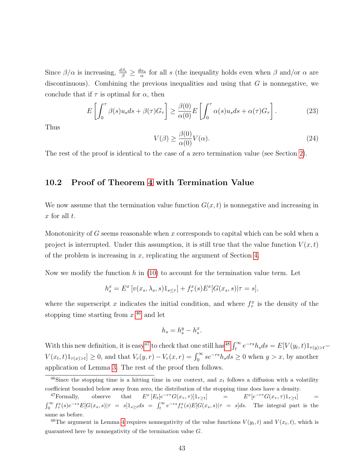Since  $\beta/\alpha$  is increasing,  $\frac{d\beta_s}{\beta} \geq \frac{d\alpha_s}{\alpha}$  $\frac{\alpha_s}{\alpha}$  for all s (the inequality holds even when  $\beta$  and/or  $\alpha$  are discontinuous). Combining the previous inequalities and using that  $G$  is nonnegative, we conclude that if  $\tau$  is optimal for  $\alpha$ , then

$$
E\left[\int_0^{\tau} \beta(s)u_s ds + \beta(\tau)G_{\tau}\right] \ge \frac{\beta(0)}{\alpha(0)} E\left[\int_0^{\tau} \alpha(s)u_s ds + \alpha(\tau)G_{\tau}\right].
$$
 (23)

<span id="page-42-0"></span>Thus

$$
V(\beta) \ge \frac{\beta(0)}{\alpha(0)} V(\alpha). \tag{24}
$$

The rest of the proof is identical to the case of a zero termination value (see Section [2\)](#page-5-4).

#### <span id="page-42-1"></span>10.2 Proof of Theorem [4](#page-14-1) with Termination Value

We now assume that the termination value function  $G(x, t)$  is nonnegative and increasing in  $x$  for all  $t$ .

Monotonicity of G seems reasonable when x corresponds to capital which can be sold when a project is interrupted. Under this assumption, it is still true that the value function  $V(x,t)$ of the problem is increasing in  $x$ , replicating the argument of Section [4.](#page-12-0)

Now we modify the function h in  $(10)$  to account for the termination value term. Let

$$
h_s^x = E^x \left[ v(x_s, \lambda_s, s) 1_{s \le \tau} \right] + f_\tau^x(s) E^x[G(x_s, s) | \tau = s],
$$

where the superscript x indicates the initial condition, and where  $f_{\tau}^x$  is the density of the stopping time starting from  $x^{46}$  $x^{46}$  $x^{46}$  and let

$$
h_s = h_s^y - h_s^x.
$$

With this new definition, it is easy<sup>[47](#page-42-3)</sup> to check that one still has<sup>[48](#page-42-4)</sup>  $\int_t^{\infty} e^{-rs} h_s ds = E[V(y_t, t)1_{\tau(y)>t}$  $V(x_t, t)1_{\tau(x)>t} \geq 0$ , and that  $V_r(y, r) - V_r(x, r) = \int_0^\infty s e^{-rs} h_s ds \geq 0$  when  $y > x$ , by another application of Lemma [3.](#page-8-1) The rest of the proof then follows.

<span id="page-42-2"></span><sup>&</sup>lt;sup>46</sup>Since the stopping time is a hitting time in our context, and  $x_t$  follows a diffusion with a volatility coefficient bounded below away from zero, the distribution of the stopping time does have a density.

<span id="page-42-3"></span><sup>&</sup>lt;sup>47</sup>Formally, observe that  $E^x \left[ E_t \left[ e^{-r\tau} G(x_\tau, \tau) \right] 1_{\tau \geq t} \right]$  =  $E^x$  $[e^{-r\tau}G(x_{\tau},\tau)1_{\tau\geq t}]$  =  $\int_0^\infty f_\tau^x(s)e^{-rs}E[G(x_s,s)|\tau = s]1_{s\geq t}ds = \int_t^\infty e^{-rs}f_\tau^x(s)E[G(x_s,s)|\tau = s]ds$ . The integral part is the same as before.

<span id="page-42-4"></span><sup>&</sup>lt;sup>48</sup>The argument in Lemma [4](#page-14-0) requires nonnegativity of the value functions  $V(y_t, t)$  and  $V(x_t, t)$ , which is guaranteed here by nonnegativity of the termination value G.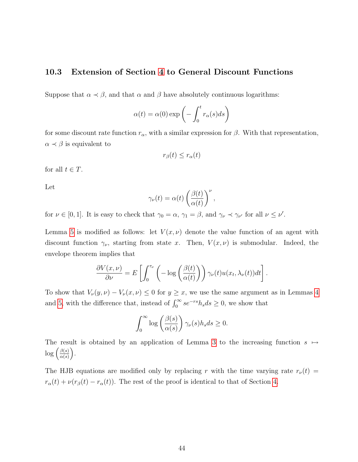#### <span id="page-43-0"></span>10.3 Extension of Section [4](#page-12-0) to General Discount Functions

Suppose that  $\alpha \prec \beta$ , and that  $\alpha$  and  $\beta$  have absolutely continuous logarithms:

$$
\alpha(t) = \alpha(0) \exp\left(-\int_0^t r_\alpha(s)ds\right)
$$

for some discount rate function  $r_{\alpha}$ , with a similar expression for  $\beta$ . With that representation,  $\alpha \prec \beta$  is equivalent to

$$
r_{\beta}(t) \le r_{\alpha}(t)
$$

for all  $t \in T$ .

Let

$$
\gamma_{\nu}(t) = \alpha(t) \left( \frac{\beta(t)}{\alpha(t)} \right)^{\nu},
$$

for  $\nu \in [0,1]$ . It is easy to check that  $\gamma_0 = \alpha$ ,  $\gamma_1 = \beta$ , and  $\gamma_\nu \prec \gamma_{\nu'}$  for all  $\nu \leq \nu'$ .

Lemma [5](#page-15-3) is modified as follows: let  $V(x, \nu)$  denote the value function of an agent with discount function  $\gamma_{\nu}$ , starting from state x. Then,  $V(x, \nu)$  is submodular. Indeed, the envelope theorem implies that

$$
\frac{\partial V(x,\nu)}{\partial \nu} = E\left[\int_0^{\tau_\nu} \left(-\log\left(\frac{\beta(t)}{\alpha(t)}\right)\right) \gamma_\nu(t) u(x_t, \lambda_\nu(t)) dt\right].
$$

To show that  $V_{\nu}(y, \nu) - V_{\nu}(x, \nu) \leq 0$  for  $y \geq x$ , we use the same argument as in Lemmas [4](#page-14-0) and [5,](#page-15-3) with the difference that, instead of  $\int_0^\infty s e^{-rs} h_s ds \ge 0$ , we show that

$$
\int_0^\infty \log \left( \frac{\beta(s)}{\alpha(s)} \right) \gamma_\nu(s) h_s ds \ge 0.
$$

The result is obtained by an application of Lemma [3](#page-8-1) to the increasing function  $s \mapsto$  $\log\left(\frac{\beta(s)}{\alpha(s)}\right)$  $\frac{\beta(s)}{\alpha(s)}\bigg).$ 

The HJB equations are modified only by replacing r with the time varying rate  $r_{\nu}(t)$  =  $r_{\alpha}(t) + \nu(r_{\beta}(t) - r_{\alpha}(t))$ . The rest of the proof is identical to that of Section [4.](#page-12-0)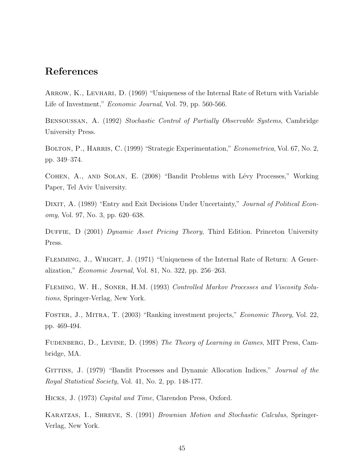# References

ARROW, K., LEVHARI, D. (1969) "Uniqueness of the Internal Rate of Return with Variable Life of Investment," *Economic Journal*, Vol. 79, pp. 560-566.

Bensoussan, A. (1992) Stochastic Control of Partially Observable Systems, Cambridge University Press.

BOLTON, P., HARRIS, C. (1999) "Strategic Experimentation," *Econometrica*, Vol. 67, No. 2, pp. 349–374.

COHEN, A., AND SOLAN, E. (2008) "Bandit Problems with Lévy Processes," Working Paper, Tel Aviv University.

DIXIT, A. (1989) "Entry and Exit Decisions Under Uncertainty," Journal of Political Economy, Vol. 97, No. 3, pp. 620–638.

DUFFIE, D (2001) Dynamic Asset Pricing Theory, Third Edition. Princeton University Press.

FLEMMING, J., WRIGHT, J. (1971) "Uniqueness of the Internal Rate of Return: A Generalization," Economic Journal, Vol. 81, No. 322, pp. 256–263.

FLEMING, W. H., SONER, H.M. (1993) Controlled Markov Processes and Viscosity Solutions, Springer-Verlag, New York.

Foster, J., Mitra, T. (2003) "Ranking investment projects," Economic Theory, Vol. 22, pp. 469-494.

FUDENBERG, D., LEVINE, D. (1998) The Theory of Learning in Games, MIT Press, Cambridge, MA.

GITTINS, J. (1979) "Bandit Processes and Dynamic Allocation Indices," *Journal of the* Royal Statistical Society, Vol. 41, No. 2, pp. 148-177.

Hicks, J. (1973) Capital and Time, Clarendon Press, Oxford.

KARATZAS, I., SHREVE, S. (1991) Brownian Motion and Stochastic Calculus, Springer-Verlag, New York.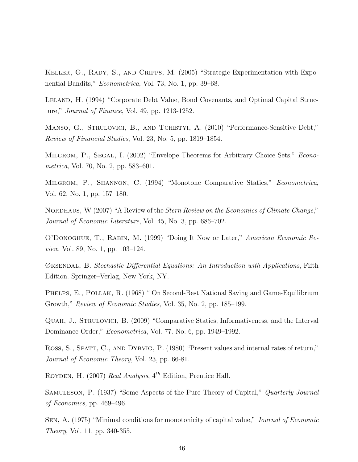KELLER, G., RADY, S., AND CRIPPS, M. (2005) "Strategic Experimentation with Exponential Bandits," Econometrica, Vol. 73, No. 1, pp. 39–68.

LELAND, H. (1994) "Corporate Debt Value, Bond Covenants, and Optimal Capital Structure," Journal of Finance, Vol. 49, pp. 1213-1252.

Manso, G., Strulovici, B., and Tchistyi, A. (2010) "Performance-Sensitive Debt," Review of Financial Studies, Vol. 23, No. 5, pp. 1819–1854.

MILGROM, P., SEGAL, I. (2002) "Envelope Theorems for Arbitrary Choice Sets," *Econo*metrica, Vol. 70, No. 2, pp. 583–601.

Milgrom, P., Shannon, C. (1994) "Monotone Comparative Statics," Econometrica, Vol. 62, No. 1, pp. 157–180.

NORDHAUS, W (2007) "A Review of the *Stern Review on the Economics of Climate Change*," Journal of Economic Literature, Vol. 45, No. 3, pp. 686–702.

O'Donoghue, T., Rabin, M. (1999) "Doing It Now or Later," American Economic Review, Vol. 89, No. 1, pp. 103–124.

Øksendal, B. Stochastic Differential Equations: An Introduction with Applications, Fifth Edition. Springer–Verlag, New York, NY.

PHELPS, E., POLLAK, R. (1968) " On Second-Best National Saving and Game-Equilibrium Growth," Review of Economic Studies, Vol. 35, No. 2, pp. 185–199.

Quah, J., Strulovici, B. (2009) "Comparative Statics, Informativeness, and the Interval Dominance Order," Econometrica, Vol. 77. No. 6, pp. 1949–1992.

ROSS, S., SPATT, C., AND DYBVIG, P. (1980) "Present values and internal rates of return," Journal of Economic Theory, Vol. 23, pp. 66-81.

ROYDEN, H. (2007) Real Analysis,  $4^{th}$  Edition, Prentice Hall.

SAMULESON, P. (1937) "Some Aspects of the Pure Theory of Capital," *Quarterly Journal* of Economics, pp. 469–496.

SEN, A. (1975) "Minimal conditions for monotonicity of capital value," *Journal of Economic* Theory, Vol. 11, pp. 340-355.